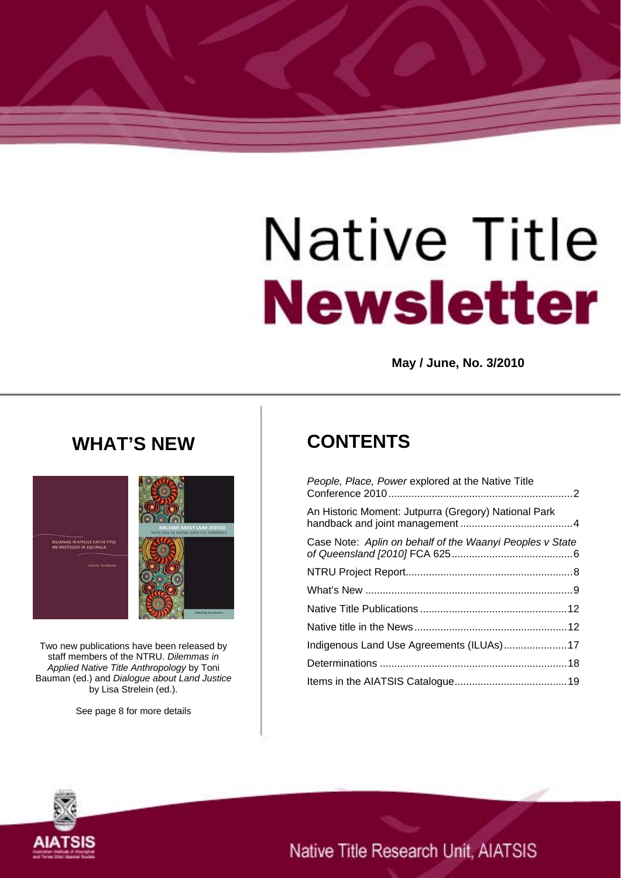# Native Title **Newsletter**

**May / June, No. 3/2010** 

# **WHAT'S NEW**



Two new publications have been released by staff members of the NTRU. *Dilemmas in Applied Native Title Anthropology* by Toni Bauman (ed.) and *Dialogue about Land Justice* by Lisa Strelein (ed.).

See page 8 for more details

# **CONTENTS**

| People, Place, Power explored at the Native Title        |
|----------------------------------------------------------|
| An Historic Moment: Jutpurra (Gregory) National Park     |
| Case Note: Aplin on behalf of the Waanyi Peoples v State |
|                                                          |
|                                                          |
|                                                          |
|                                                          |
|                                                          |
|                                                          |
|                                                          |



Native Title Research Unit, AIATSIS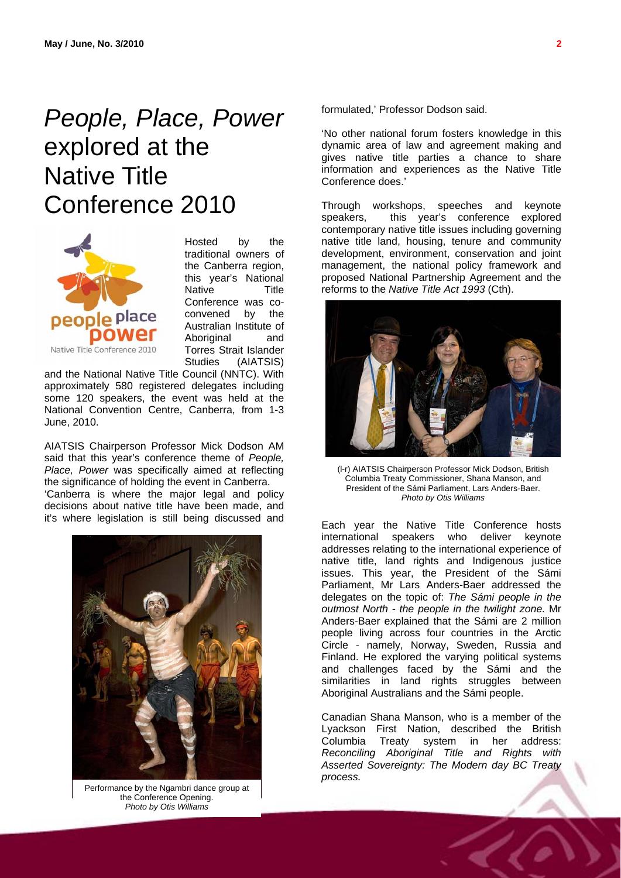# <span id="page-1-0"></span>*People, Place, Power* explored at the Native Title Conference 2010



Hosted by the traditional owners of the Canberra region, this year's National Native Title Conference was coconvened by the Australian Institute of Aboriginal and Torres Strait Islander Studies (AIATSIS)

and the National Native Title Council (NNTC). With approximately 580 registered delegates including some 120 speakers, the event was held at the National Convention Centre, Canberra, from 1-3 June, 2010.

AIATSIS Chairperson Professor Mick Dodson AM said that this year's conference theme of *People, Place, Power* was specifically aimed at reflecting the significance of holding the event in Canberra.

'Canberra is where the major legal and policy decisions about native title have been made, and it's where legislation is still being discussed and



the Conference Opening. *Photo by Otis Williams*

formulated,' Professor Dodson said.

'No other national forum fosters knowledge in this dynamic area of law and agreement making and gives native title parties a chance to share information and experiences as the Native Title Conference does.'

Through workshops, speeches and keynote<br>speakers. this year's conference explored this year's conference explored contemporary native title issues including governing native title land, housing, tenure and community development, environment, conservation and joint management, the national policy framework and proposed National Partnership Agreement and the reforms to the *Native Title Act 1993* (Cth).



(l-r) AIATSIS Chairperson Professor Mick Dodson, British Columbia Treaty Commissioner, Shana Manson, and President of the Sámi Parliament, Lars Anders-Baer. *Photo by Otis Williams*

Each year the Native Title Conference hosts international speakers who deliver keynote addresses relating to the international experience of native title, land rights and Indigenous justice issues. This year, the President of the Sámi Parliament, Mr Lars Anders-Baer addressed the delegates on the topic of: *The Sámi people in the outmost North - the people in the twilight zone.* Mr Anders-Baer explained that the Sámi are 2 million people living across four countries in the Arctic Circle - namely, Norway, Sweden, Russia and Finland. He explored the varying political systems and challenges faced by the Sámi and the similarities in land rights struggles between Aboriginal Australians and the Sámi people.

Canadian Shana Manson, who is a member of the Lyackson First Nation, described the British Columbia Treaty system in her address: *Reconciling Aboriginal Title and Rights with Asserted Sovereignty: The Modern day BC Treaty*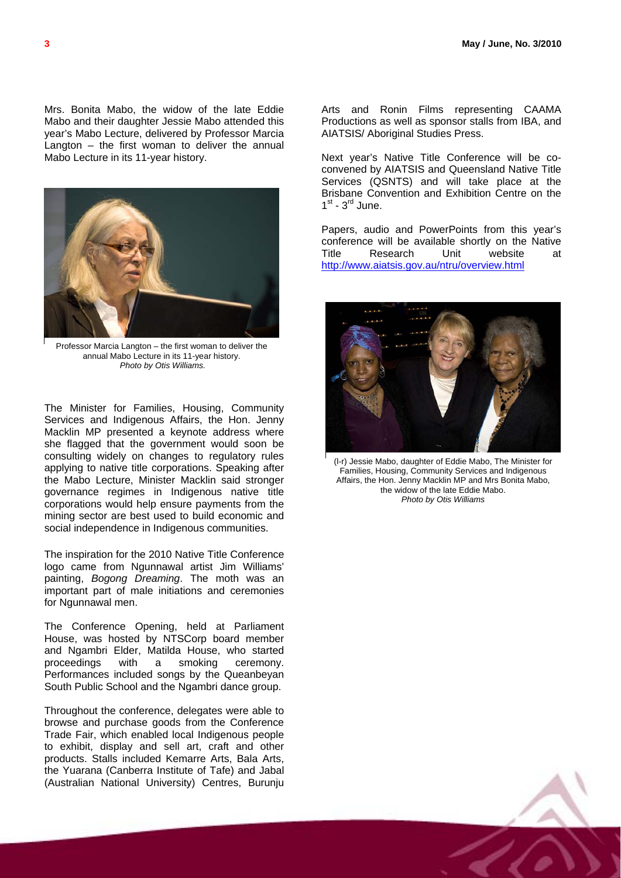Mrs. Bonita Mabo, the widow of the late Eddie Mabo and their daughter Jessie Mabo attended this year's Mabo Lecture, delivered by Professor Marcia Langton  $-$  the first woman to deliver the annual Mabo Lecture in its 11-year history.



Professor Marcia Langton – the first woman to deliver the annual Mabo Lecture in its 11-year history. *Photo by Otis Williams.* 

The Minister for Families, Housing, Community Services and Indigenous Affairs, the Hon. Jenny Macklin MP presented a keynote address where she flagged that the government would soon be consulting widely on changes to regulatory rules applying to native title corporations. Speaking after the Mabo Lecture, Minister Macklin said stronger governance regimes in Indigenous native title corporations would help ensure payments from the mining sector are best used to build economic and social independence in Indigenous communities.

The inspiration for the 2010 Native Title Conference logo came from Ngunnawal artist Jim Williams' painting, *Bogong Dreaming*. The moth was an important part of male initiations and ceremonies for Ngunnawal men.

The Conference Opening, held at Parliament House, was hosted by NTSCorp board member and Ngambri Elder, Matilda House, who started proceedings with a smoking ceremony. Performances included songs by the Queanbeyan South Public School and the Ngambri dance group.

Throughout the conference, delegates were able to browse and purchase goods from the Conference Trade Fair, which enabled local Indigenous people to exhibit, display and sell art, craft and other products. Stalls included Kemarre Arts, Bala Arts, the Yuarana (Canberra Institute of Tafe) and Jabal (Australian National University) Centres, Burunju

Arts and Ronin Films representing CAAMA Productions as well as sponsor stalls from IBA, and AIATSIS/ Aboriginal Studies Press.

Next year's Native Title Conference will be coconvened by AIATSIS and Queensland Native Title Services (QSNTS) and will take place at the Brisbane Convention and Exhibition Centre on the  $1^{st}$  -  $3^{rd}$  June.

Papers, audio and PowerPoints from this year's conference will be available shortly on the Native Title Research Unit website at <http://www.aiatsis.gov.au/ntru/overview.html>



(l-r) Jessie Mabo, daughter of Eddie Mabo, The Minister for Families, Housing, Community Services and Indigenous Affairs, the Hon. Jenny Macklin MP and Mrs Bonita Mabo, the widow of the late Eddie Mabo. *Photo by Otis Williams*

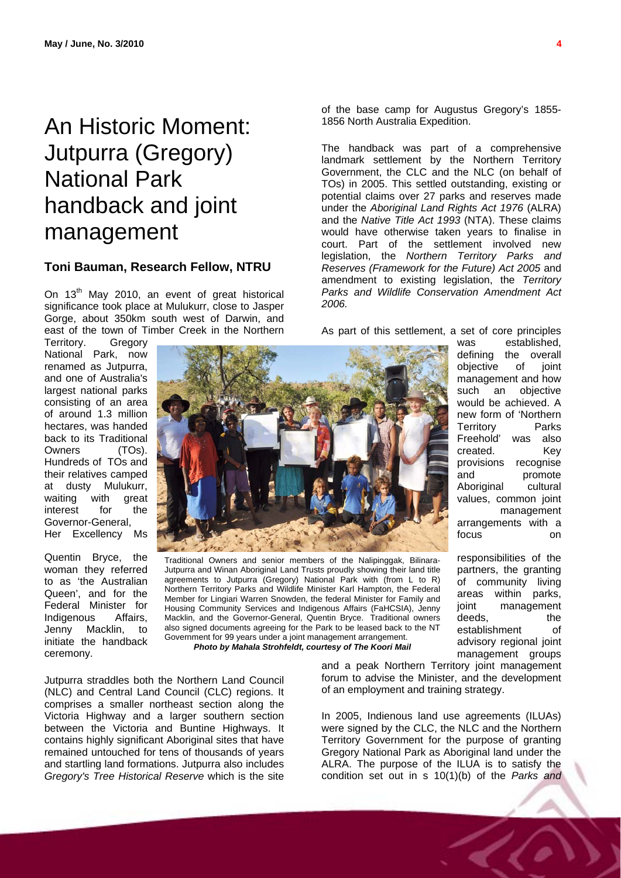# <span id="page-3-0"></span>An Historic Moment: Jutpurra (Gregory) National Park handback and joint management

#### **Toni Bauman, Research Fellow, NTRU**

On 13<sup>th</sup> May 2010, an event of great historical significance took place at Mulukurr, close to Jasper Gorge, about 350km south west of Darwin, and east of the town of Timber Creek in the Northern

Territory. Gregory National Park, now renamed as Jutpurra, and one of Australia's largest national parks consisting of an area of around 1.3 million hectares, was handed back to its Traditional Owners (TOs). Hundreds of TOs and their relatives camped at dusty Mulukurr,<br>waiting with great waiting with interest for the Governor-General, Her Excellency Ms

Quentin Bryce, the woman they referred to as 'the Australian Queen', and for the Federal Minister for Indigenous Affairs, Jenny Macklin, to initiate the handback ceremony.



Traditional Owners and senior members of the Nalipinggak, Bilinara-Jutpurra and Winan Aboriginal Land Trusts proudly showing their land title agreements to Jutpurra (Gregory) National Park with (from L to R) Northern Territory Parks and Wildlife Minister Karl Hampton, the Federal Member for Lingiari Warren Snowden, the federal Minister for Family and Housing Community Services and Indigenous Affairs (FaHCSIA), Jenny Macklin, and the Governor-General, Quentin Bryce. Traditional owners also signed documents agreeing for the Park to be leased back to the NT Government for 99 years under a joint management arrangement. *Photo by Mahala Strohfeldt, courtesy of The Koori Mail*

Jutpurra straddles both the Northern Land Council (NLC) and Central Land Council (CLC) regions. It comprises a smaller northeast section along the Victoria Highway and a larger southern section between the Victoria and Buntine Highways. It contains highly significant Aboriginal sites that have remained untouched for tens of thousands of years and startling land formations. Jutpurra also includes *Gregory's Tree Historical Reserve* which is the site

forum to advise the Minister, and the development of an employment and training strategy.

In 2005, Indienous land use agreements (ILUAs) were signed by the CLC, the NLC and the Northern Territory Government for the purpose of granting Gregory National Park as Aboriginal land under the ALRA. The purpose of the ILUA is to satisfy the condition set out in s 10(1)(b) of the *Parks and* 

of the base camp for Augustus Gregory's 1855- 1856 North Australia Expedition.

The handback was part of a comprehensive landmark settlement by the Northern Territory Government, the CLC and the NLC (on behalf of TOs) in 2005. This settled outstanding, existing or potential claims over 27 parks and reserves made under the *Aboriginal Land Rights Act 1976* (ALRA) and the *Native Title Act 1993* (NTA). These claims would have otherwise taken years to finalise in court. Part of the settlement involved new legislation, the *Northern Territory Parks and Reserves (Framework for the Future) Act 2005* and amendment to existing legislation, the *Territory Parks and Wildlife Conservation Amendment Act 2006.*

As part of this settlement, a set of core principles

was established, defining the overall objective of joint management and how such an objective would be achieved. A new form of 'Northern Territory Parks Freehold' was also created. Key provisions recognise and promote<br>Aboriginal cultural Aboriginal values, common joint management arrangements with a focus on

responsibilities of the partners, the granting of community living areas within parks, joint management deeds. the establishment of advisory regional joint management groups and a peak Northern Territory joint management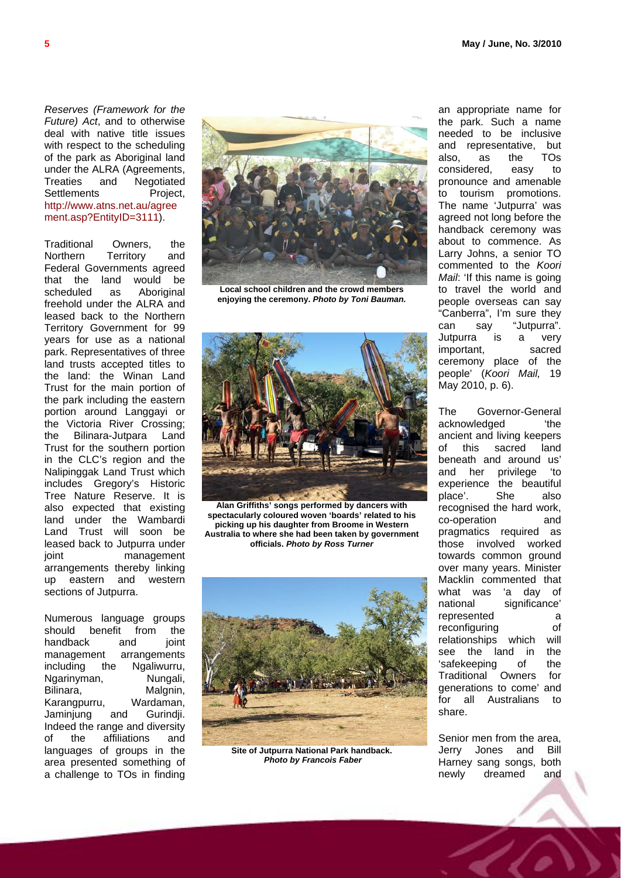*Reserves (Framework for the Future) Act*, and to otherwise deal with native title issues with respect to the scheduling of the park as Aboriginal land under the ALRA (Agreements, Treaties and Negotiated Settlements Project, [http://www.atns.net.au/agree](http://www.atns.net.au/agreement.asp?EntityID=3111) [ment.asp?EntityID=3111](http://www.atns.net.au/agreement.asp?EntityID=3111)).

Traditional Owners, the Northern Territory and Federal Governments agreed that the land would be scheduled as Aboriginal freehold under the ALRA and leased back to the Northern Territory Government for 99 years for use as a national park. Representatives of three land trusts accepted titles to the land: the Winan Land Trust for the main portion of the park including the eastern portion around Langgayi or the Victoria River Crossing; the Bilinara-Jutpara Land Trust for the southern portion in the CLC's region and the Nalipinggak Land Trust which includes Gregory's Historic Tree Nature Reserve. It is also expected that existing land under the Wambardi Land Trust will soon be leased back to Jutpurra under joint management arrangements thereby linking up eastern and western sections of Jutpurra.

Numerous language groups should benefit from the handback and joint management arrangements including the Ngaliwurru, Ngarinyman, Nungali, Bilinara, Malgnin, Karangpurru, Wardaman, Jaminjung and Gurindji. Indeed the range and diversity of the affiliations and languages of groups in the area presented something of a challenge to TOs in finding



**Local school children and the crowd members enjoying the ceremony.** *Photo by Toni Bauman.*



**Alan Griffiths' songs performed by dancers with spectacularly coloured woven 'boards' related to his picking up his daughter from Broome in Western Australia to where she had been taken by government officials.** *Photo by Ross Turner*



**Site of Jutpurra National Park handback.** *Photo by Francois Faber*

an appropriate name for the park. Such a name needed to be inclusive and representative, but also, as the TOs considered, easy to pronounce and amenable to tourism promotions. The name 'Jutpurra' was agreed not long before the handback ceremony was about to commence. As Larry Johns, a senior TO commented to the *Koori Mail*: 'If this name is going to travel the world and people overseas can say "Canberra", I'm sure they can say "Jutpurra". Jutpurra is a very important, sacred ceremony place of the people' (*Koori Mail,* 19 May 2010, p. 6).

The Governor-General acknowledged 
'the ancient and living keepers of this sacred land beneath and around us' and her privilege 'to experience the beautiful place'. She also recognised the hard work, co-operation and pragmatics required as those involved worked towards common ground over many years. Minister Macklin commented that what was 'a day of national significance' represented a reconfiguring of relationships which will see the land in the 'safekeeping of the Traditional Owners for generations to come' and for all Australians to share.

Senior men from the area, Jerry Jones and Bill Harney sang songs, both newly dreamed and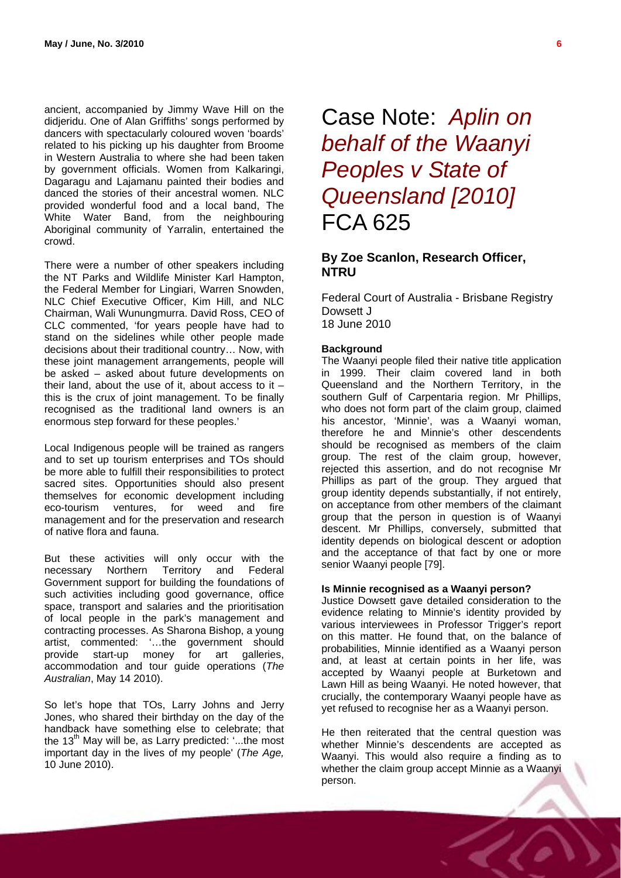<span id="page-5-0"></span>ancient, accompanied by Jimmy Wave Hill on the didjeridu. One of Alan Griffiths' songs performed by dancers with spectacularly coloured woven 'boards' related to his picking up his daughter from Broome in Western Australia to where she had been taken by government officials. Women from Kalkaringi, Dagaragu and Lajamanu painted their bodies and danced the stories of their ancestral women. NLC provided wonderful food and a local band, The White Water Band, from the neighbouring Aboriginal community of Yarralin, entertained the crowd.

There were a number of other speakers including the NT Parks and Wildlife Minister Karl Hampton, the Federal Member for Lingiari, Warren Snowden, NLC Chief Executive Officer, Kim Hill, and NLC Chairman, Wali Wunungmurra. David Ross, CEO of CLC commented, 'for years people have had to stand on the sidelines while other people made decisions about their traditional country… Now, with these joint management arrangements, people will be asked – asked about future developments on their land, about the use of it, about access to it  $$ this is the crux of joint management. To be finally recognised as the traditional land owners is an enormous step forward for these peoples.'

Local Indigenous people will be trained as rangers and to set up tourism enterprises and TOs should be more able to fulfill their responsibilities to protect sacred sites. Opportunities should also present themselves for economic development including eco-tourism ventures, for weed and fire management and for the preservation and research of native flora and fauna.

But these activities will only occur with the necessary Northern Territory and Federal Government support for building the foundations of such activities including good governance, office space, transport and salaries and the prioritisation of local people in the park's management and contracting processes. As Sharona Bishop, a young artist, commented: '…the government should provide start-up money for art galleries, accommodation and tour guide operations (*The Australian*, May 14 2010).

So let's hope that TOs, Larry Johns and Jerry Jones, who shared their birthday on the day of the handback have something else to celebrate; that the  $13<sup>th</sup>$  May will be, as Larry predicted: '...the most important day in the lives of my people' (*The Age,* 10 June 2010).

Case Note: *[Aplin on](http://www.austlii.edu.au/au/cases/cth/FCA/2010/625.html)  [behalf of the Waanyi](http://www.austlii.edu.au/au/cases/cth/FCA/2010/625.html)  [Peoples v State of](http://www.austlii.edu.au/au/cases/cth/FCA/2010/625.html)  [Queensland \[2010\]](http://www.austlii.edu.au/au/cases/cth/FCA/2010/625.html)* FCA 625

### **By Zoe Scanlon, Research Officer, NTRU**

Federal Court of Australia - Brisbane Registry Dowsett J 18 June 2010

#### **Background**

The Waanyi people filed their native title application in 1999. Their claim covered land in both Queensland and the Northern Territory, in the southern Gulf of Carpentaria region. Mr Phillips, who does not form part of the claim group, claimed his ancestor, 'Minnie', was a Waanyi woman, therefore he and Minnie's other descendents should be recognised as members of the claim group. The rest of the claim group, however, rejected this assertion, and do not recognise Mr Phillips as part of the group. They argued that group identity depends substantially, if not entirely, on acceptance from other members of the claimant group that the person in question is of Waanyi descent. Mr Phillips, conversely, submitted that identity depends on biological descent or adoption and the acceptance of that fact by one or more senior Waanyi people [79].

#### **Is Minnie recognised as a Waanyi person?**

Justice Dowsett gave detailed consideration to the evidence relating to Minnie's identity provided by various interviewees in Professor Trigger's report on this matter. He found that, on the balance of probabilities, Minnie identified as a Waanyi person and, at least at certain points in her life, was accepted by Waanyi people at Burketown and Lawn Hill as being Waanyi. He noted however, that crucially, the contemporary Waanyi people have as yet refused to recognise her as a Waanyi person.

He then reiterated that the central question was whether Minnie's descendents are accepted as Waanyi. This would also require a finding as to whether the claim group accept Minnie as a Waanyi person.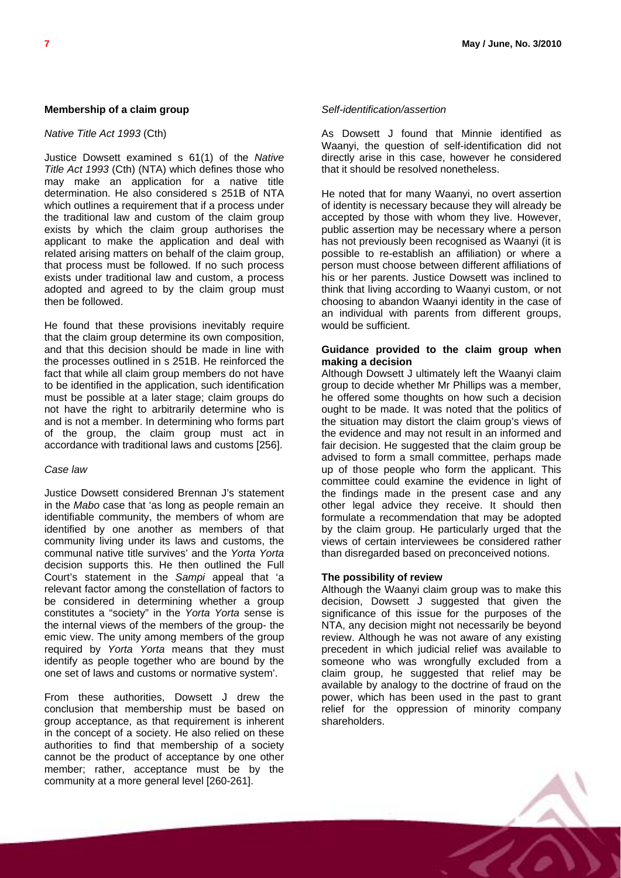#### **Membership of a claim group**

#### *Native Title Act 1993* (Cth)

Justice Dowsett examined s 61(1) of the *Native Title Act 1993* (Cth) (NTA) which defines those who may make an application for a native title determination. He also considered s 251B of NTA which outlines a requirement that if a process under the traditional law and custom of the claim group exists by which the claim group authorises the applicant to make the application and deal with related arising matters on behalf of the claim group, that process must be followed. If no such process exists under traditional law and custom, a process adopted and agreed to by the claim group must then be followed.

He found that these provisions inevitably require that the claim group determine its own composition, and that this decision should be made in line with the processes outlined in s 251B. He reinforced the fact that while all claim group members do not have to be identified in the application, such identification must be possible at a later stage; claim groups do not have the right to arbitrarily determine who is and is not a member. In determining who forms part of the group, the claim group must act in accordance with traditional laws and customs [256].

#### *Case law*

Justice Dowsett considered Brennan J's statement in the *Mabo* case that 'as long as people remain an identifiable community, the members of whom are identified by one another as members of that community living under its laws and customs, the communal native title survives' and the *Yorta Yorta* decision supports this. He then outlined the Full Court's statement in the *Sampi* appeal that 'a relevant factor among the constellation of factors to be considered in determining whether a group constitutes a "society" in the *Yorta Yorta* sense is the internal views of the members of the group- the emic view. The unity among members of the group required by *Yorta Yorta* means that they must identify as people together who are bound by the one set of laws and customs or normative system'.

From these authorities, Dowsett J drew the conclusion that membership must be based on group acceptance, as that requirement is inherent in the concept of a society. He also relied on these authorities to find that membership of a society cannot be the product of acceptance by one other member; rather, acceptance must be by the community at a more general level [260-261].

#### *Self-identification/assertion*

As Dowsett J found that Minnie identified as Waanyi, the question of self-identification did not directly arise in this case, however he considered that it should be resolved nonetheless.

He noted that for many Waanyi, no overt assertion of identity is necessary because they will already be accepted by those with whom they live. However, public assertion may be necessary where a person has not previously been recognised as Waanyi (it is possible to re-establish an affiliation) or where a person must choose between different affiliations of his or her parents. Justice Dowsett was inclined to think that living according to Waanyi custom, or not choosing to abandon Waanyi identity in the case of an individual with parents from different groups, would be sufficient.

#### **Guidance provided to the claim group when making a decision**

Although Dowsett J ultimately left the Waanyi claim group to decide whether Mr Phillips was a member, he offered some thoughts on how such a decision ought to be made. It was noted that the politics of the situation may distort the claim group's views of the evidence and may not result in an informed and fair decision. He suggested that the claim group be advised to form a small committee, perhaps made up of those people who form the applicant. This committee could examine the evidence in light of the findings made in the present case and any other legal advice they receive. It should then formulate a recommendation that may be adopted by the claim group. He particularly urged that the views of certain interviewees be considered rather than disregarded based on preconceived notions.

#### **The possibility of review**

Although the Waanyi claim group was to make this decision, Dowsett J suggested that given the significance of this issue for the purposes of the NTA, any decision might not necessarily be beyond review. Although he was not aware of any existing precedent in which judicial relief was available to someone who was wrongfully excluded from a claim group, he suggested that relief may be available by analogy to the doctrine of fraud on the power, which has been used in the past to grant relief for the oppression of minority company shareholders.

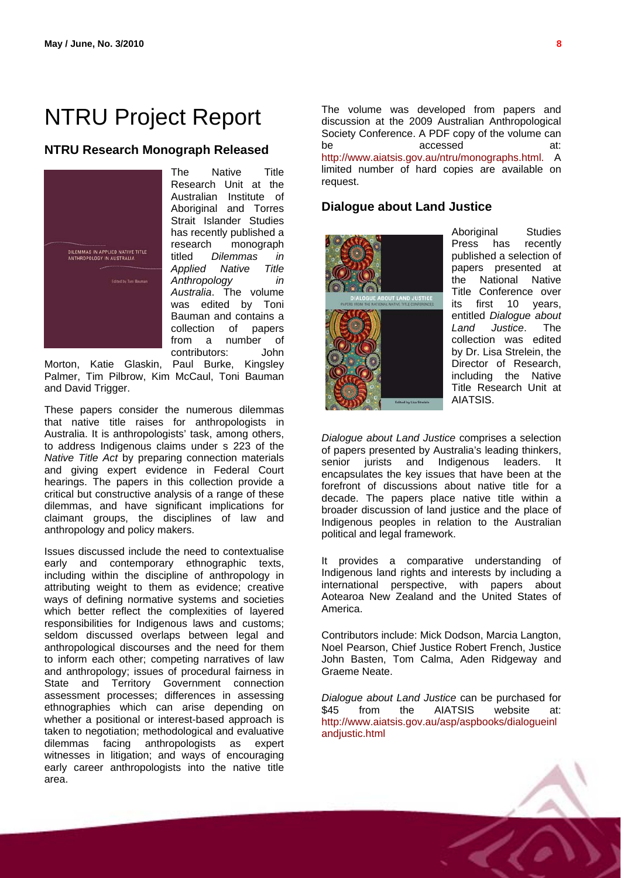# <span id="page-7-0"></span>NTRU Project Report

#### **NTRU Research Monograph Released**



The Native Title Research Unit at the Australian Institute of Aboriginal and Torres Strait Islander Studies has recently published a research monograph titled *Dilemmas in Applied Native Title Anthropology in Australia*. The volume was edited by Toni Bauman and contains a<br>collection of papers collection of from a number of<br>contributors: John contributors:

Palmer, Tim Pilbrow, Kim McCaul, Toni Bauman and David Trigger. Morton, Katie Glaskin, Paul Burke, Kingsley

claimant groups, the disciplines of law and These papers consider the numerous dilemmas that native title raises for anthropologists in Australia. It is anthropologists' task, among others, to address Indigenous claims under s 223 of the *Native Title Act* by preparing connection materials and giving expert evidence in Federal Court hearings. The papers in this collection provide a critical but constructive analysis of a range of these dilemmas, and have significant implications for anthropology and policy makers.

early career anthropologists into the native title area. Issues discussed include the need to contextualise early and contemporary ethnographic texts, including within the discipline of anthropology in attributing weight to them as evidence; creative ways of defining normative systems and societies which better reflect the complexities of layered responsibilities for Indigenous laws and customs; seldom discussed overlaps between legal and anthropological discourses and the need for them to inform each other; competing narratives of law and anthropology; issues of procedural fairness in State and Territory Government connection assessment processes; differences in assessing ethnographies which can arise depending on whether a positional or interest-based approach is taken to negotiation; methodological and evaluative dilemmas facing anthropologists as expert witnesses in litigation; and ways of encouraging

The volume was developed from papers and discussion at the 2009 Australian Anthropological Society Conference. A PDF copy of the volume can be accessed at: <http://www.aiatsis.gov.au/ntru/monographs.html>. A limited number of hard copies are available on request.

#### **Dialogue about Land Justice**



Title Research Unit at Aboriginal Studies Press has recently published a selection of papers presented at the National Native Title Conference over its first 10 years, entitled *Dialogue about Land Justice*. The collection was edited by Dr. Lisa Strelein, the Director of Research, including the Native AIATSIS.

Indigenous peoples in relation to the Australian political and legal framework. *Dialogue about Land Justice* comprises a selection of papers presented by Australia's leading thinkers, senior jurists and Indigenous leaders. It encapsulates the key issues that have been at the forefront of discussions about native title for a decade. The papers place native title within a broader discussion of land justice and the place of

Aotearoa New Zealand and the United States of America. It provides a comparative understanding of Indigenous land rights and interests by including a international perspective, with papers about

John Basten, Tom Calma, Aden Ridgeway and Graeme Neate. Contributors include: Mick Dodson, Marcia Langton, Noel Pearson, Chief Justice Robert French, Justice

[http://www.aiat](http://www.aiatsis.gov.au/asp/aspbooks/dialogueinlandjustic.html)sis.gov.au/asp/aspbooks/dialogueinl andjustic.html *Dialogue about Land Justice* can be purchased for \$45 from the AIATSIS website at:

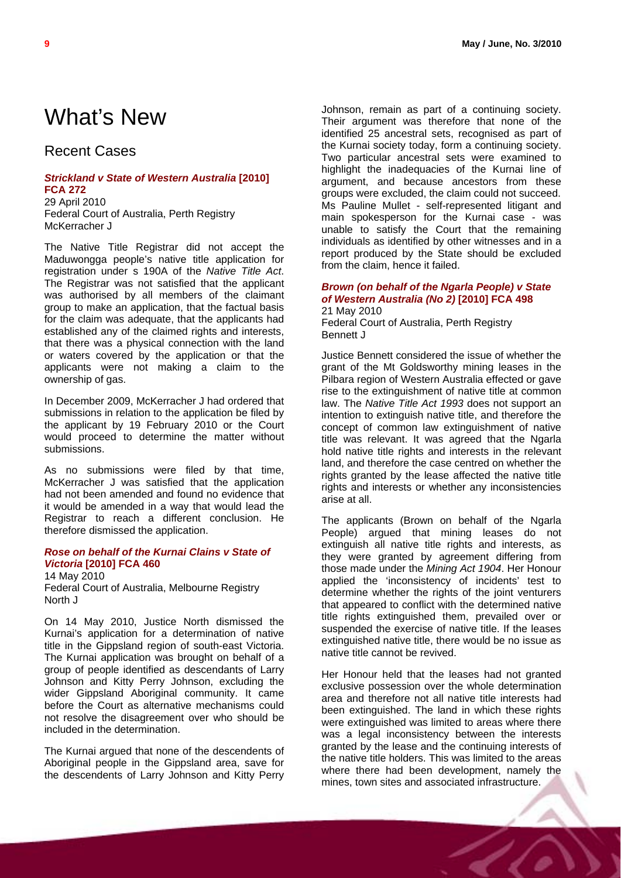# <span id="page-8-0"></span>What's New

# Recent Cases

### *[Strickland v State of Western Australia](http://www.austlii.edu.au/au/cases/cth/FCA/2010/272.html)* **[2010] [FCA 272](http://www.austlii.edu.au/au/cases/cth/FCA/2010/272.html)**  29 April 2010

Federal Court of Australia, Perth Registry McKerracher J

The Native Title Registrar did not accept the Maduwongga people's native title application for registration under s 190A of the *Native Title Act*. The Registrar was not satisfied that the applicant was authorised by all members of the claimant group to make an application, that the factual basis for the claim was adequate, that the applicants had established any of the claimed rights and interests, that there was a physical connection with the land or waters covered by the application or that the applicants were not making a claim to the ownership of gas.

In December 2009, McKerracher J had ordered that submissions in relation to the application be filed by the applicant by 19 February 2010 or the Court would proceed to determine the matter without submissions.

As no submissions were filed by that time, McKerracher J was satisfied that the application had not been amended and found no evidence that it would be amended in a way that would lead the Registrar to reach a different conclusion. He therefore dismissed the application.

#### *[Rose on behalf of the Kurnai Clains v State of](http://www.austlii.edu.au/au/cases/cth/FCA/2010/460.html)  Victoria* **[2010] [FCA 460](http://www.austlii.edu.au/au/cases/cth/FCA/2010/460.html)**

14 May 2010 Federal Court of Australia, Melbourne Registry North J

On 14 May 2010, Justice North dismissed the Kurnai's application for a determination of native title in the Gippsland region of south-east Victoria. The Kurnai application was brought on behalf of a group of people identified as descendants of Larry Johnson and Kitty Perry Johnson, excluding the wider Gippsland Aboriginal community. It came before the Court as alternative mechanisms could not resolve the disagreement over who should be included in the determination.

The Kurnai argued that none of the descendents of Aboriginal people in the Gippsland area, save for the descendents of Larry Johnson and Kitty Perry Johnson, remain as part of a continuing society. Their argument was therefore that none of the identified 25 ancestral sets, recognised as part of the Kurnai society today, form a continuing society. Two particular ancestral sets were examined to highlight the inadequacies of the Kurnai line of argument, and because ancestors from these groups were excluded, the claim could not succeed. Ms Pauline Mullet - self-represented litigant and main spokesperson for the Kurnai case - was unable to satisfy the Court that the remaining individuals as identified by other witnesses and in a report produced by the State should be excluded from the claim, hence it failed.

#### *[Brown \(on behalf of the Ngarla People\) v State](http://www.austlii.edu.au/au/cases/cth/FCA/2010/498.html)  [of Western Australia \(No 2\)](http://www.austlii.edu.au/au/cases/cth/FCA/2010/498.html)* **[2010] FCA 498**  21 May 2010

Federal Court of Australia, Perth Registry Bennett J

Justice Bennett considered the issue of whether the grant of the Mt Goldsworthy mining leases in the Pilbara region of Western Australia effected or gave rise to the extinguishment of native title at common law. The *Native Title Act 1993* does not support an intention to extinguish native title, and therefore the concept of common law extinguishment of native title was relevant. It was agreed that the Ngarla hold native title rights and interests in the relevant land, and therefore the case centred on whether the rights granted by the lease affected the native title rights and interests or whether any inconsistencies arise at all.

The applicants (Brown on behalf of the Ngarla People) argued that mining leases do not extinguish all native title rights and interests, as they were granted by agreement differing from those made under the *Mining Act 1904*. Her Honour applied the 'inconsistency of incidents' test to determine whether the rights of the joint venturers that appeared to conflict with the determined native title rights extinguished them, prevailed over or suspended the exercise of native title. If the leases extinguished native title, there would be no issue as native title cannot be revived.

Her Honour held that the leases had not granted exclusive possession over the whole determination area and therefore not all native title interests had been extinguished. The land in which these rights were extinguished was limited to areas where there was a legal inconsistency between the interests granted by the lease and the continuing interests of the native title holders. This was limited to the areas where there had been development, namely the mines, town sites and associated infrastructure.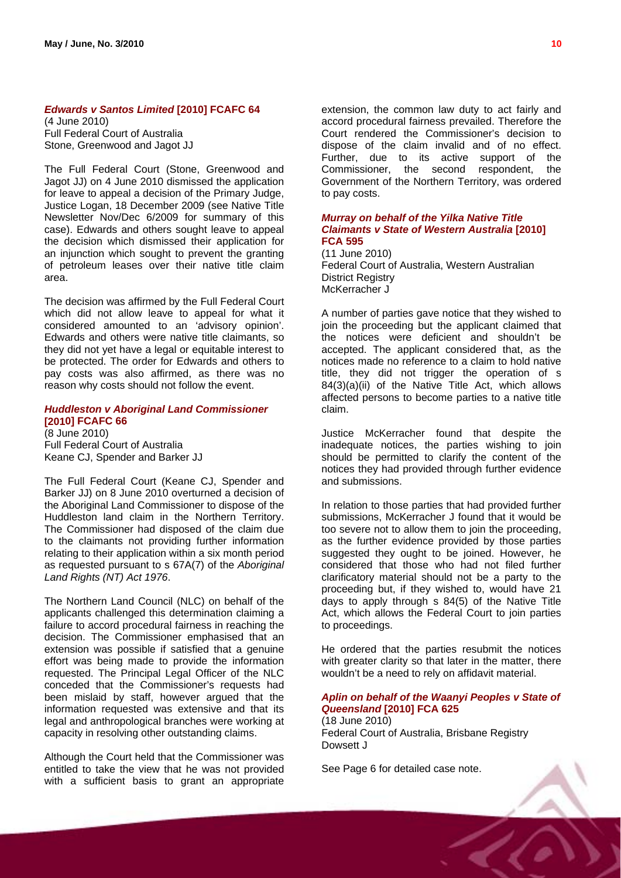#### *[Edwards v Santos Limited](http://www.austlii.edu.au/au/cases/cth/FCAFC/2010/64.html)* **[2010] FCAFC 64**

(4 June 2010) Full Federal Court of Australia Stone, Greenwood and Jagot JJ

The Full Federal Court (Stone, Greenwood and Jagot JJ) on 4 June 2010 dismissed the application for leave to appeal a decision of the Primary Judge, Justice Logan, 18 December 2009 (see Native Title Newsletter Nov/Dec 6/2009 for summary of this case). Edwards and others sought leave to appeal the decision which dismissed their application for an injunction which sought to prevent the granting of petroleum leases over their native title claim area.

The decision was affirmed by the Full Federal Court which did not allow leave to appeal for what it considered amounted to an 'advisory opinion'. Edwards and others were native title claimants, so they did not yet have a legal or equitable interest to be protected. The order for Edwards and others to pay costs was also affirmed, as there was no reason why costs should not follow the event.

#### *[Huddleston v Aboriginal Land Commissioner](http://www.austlii.edu.au/cgi-bin/sinodisp/au/cases/cth/FCAFC/2010/66.html?stem=0&synonyms=0&query=title(%222010%20FCAFC%2066%22))*  **[\[2010\] FCAFC 66](http://www.austlii.edu.au/cgi-bin/sinodisp/au/cases/cth/FCAFC/2010/66.html?stem=0&synonyms=0&query=title(%222010%20FCAFC%2066%22))**  (8 June 2010)

Full Federal Court of Australia Keane CJ, Spender and Barker JJ

The Full Federal Court (Keane CJ, Spender and Barker JJ) on 8 June 2010 overturned a decision of the Aboriginal Land Commissioner to dispose of the Huddleston land claim in the Northern Territory. The Commissioner had disposed of the claim due to the claimants not providing further information relating to their application within a six month period as requested pursuant to s 67A(7) of the *Aboriginal Land Rights (NT) Act 1976*.

The Northern Land Council (NLC) on behalf of the applicants challenged this determination claiming a failure to accord procedural fairness in reaching the decision. The Commissioner emphasised that an extension was possible if satisfied that a genuine effort was being made to provide the information requested. The Principal Legal Officer of the NLC conceded that the Commissioner's requests had been mislaid by staff, however argued that the information requested was extensive and that its legal and anthropological branches were working at capacity in resolving other outstanding claims.

Although the Court held that the Commissioner was entitled to take the view that he was not provided with a sufficient basis to grant an appropriate

extension, the common law duty to act fairly and accord procedural fairness prevailed. Therefore the Court rendered the Commissioner's decision to dispose of the claim invalid and of no effect. Further, due to its active support of the Commissioner, the second respondent, the Government of the Northern Territory, was ordered to pay costs.

#### *[Murray on behalf of the Yilka Native Title](http://www.austlii.edu.au/au/cases/cth/FCA/2010/595.html)  [Claimants v State of Western Australia](http://www.austlii.edu.au/au/cases/cth/FCA/2010/595.html)* **[2010] [FCA 595](http://www.austlii.edu.au/au/cases/cth/FCA/2010/595.html)**

(11 June 2010) Federal Court of Australia, Western Australian District Registry McKerracher J

A number of parties gave notice that they wished to join the proceeding but the applicant claimed that the notices were deficient and shouldn't be accepted. The applicant considered that, as the notices made no reference to a claim to hold native title, they did not trigger the operation of s 84(3)(a)(ii) of the Native Title Act, which allows affected persons to become parties to a native title claim.

Justice McKerracher found that despite the inadequate notices, the parties wishing to join should be permitted to clarify the content of the notices they had provided through further evidence and submissions.

In relation to those parties that had provided further submissions, McKerracher J found that it would be too severe not to allow them to join the proceeding, as the further evidence provided by those parties suggested they ought to be joined. However, he considered that those who had not filed further clarificatory material should not be a party to the proceeding but, if they wished to, would have 21 days to apply through s 84(5) of the Native Title Act, which allows the Federal Court to join parties to proceedings.

He ordered that the parties resubmit the notices with greater clarity so that later in the matter, there wouldn't be a need to rely on affidavit material.

### *[Aplin on behalf of the Waanyi Peoples v State of](http://www.austlii.edu.au/au/cases/cth/FCA/2010/625.html)  Queensland* **[\[2010\] FCA 625](http://www.austlii.edu.au/au/cases/cth/FCA/2010/625.html)**  (18 June 2010)

Federal Court of Australia, Brisbane Registry Dowsett J

See Page 6 for detailed case note.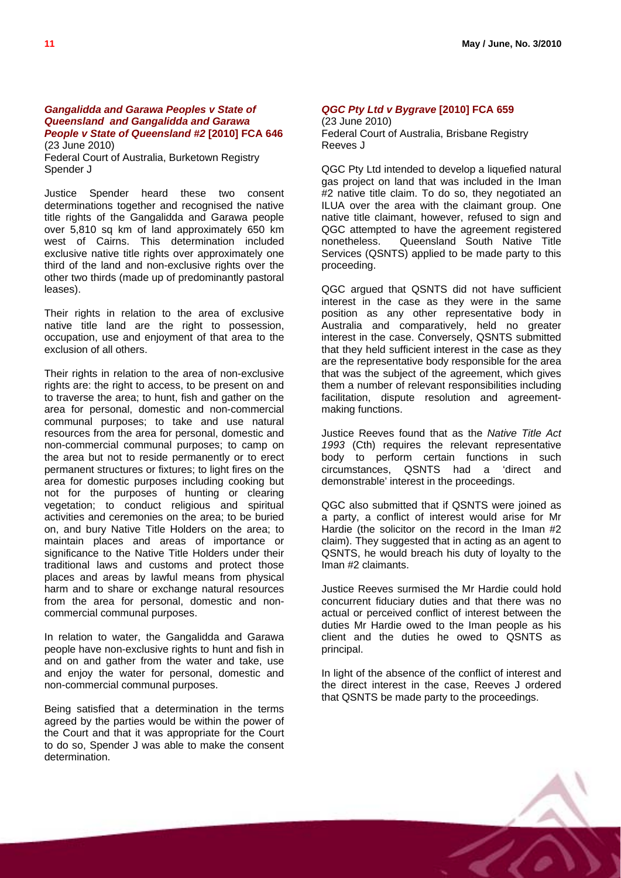#### *[Gangalidda and Garawa Peoples v State of](http://www.austlii.edu.au/au/cases/cth/FCA/2010/646.html)  [Queensland and Gangalidda and Garawa](http://www.austlii.edu.au/au/cases/cth/FCA/2010/646.html)  [People v State of Queensland #2](http://www.austlii.edu.au/au/cases/cth/FCA/2010/646.html)* **[2010] FCA 646**  (23 June 2010)

Federal Court of Australia, Burketown Registry Spender J

Justice Spender heard these two consent determinations together and recognised the native title rights of the Gangalidda and Garawa people over 5,810 sq km of land approximately 650 km west of Cairns. This determination included exclusive native title rights over approximately one third of the land and non-exclusive rights over the other two thirds (made up of predominantly pastoral leases).

Their rights in relation to the area of exclusive native title land are the right to possession, occupation, use and enjoyment of that area to the exclusion of all others.

Their rights in relation to the area of non-exclusive rights are: the right to access, to be present on and to traverse the area; to hunt, fish and gather on the area for personal, domestic and non-commercial communal purposes; to take and use natural resources from the area for personal, domestic and non-commercial communal purposes; to camp on the area but not to reside permanently or to erect permanent structures or fixtures; to light fires on the area for domestic purposes including cooking but not for the purposes of hunting or clearing vegetation; to conduct religious and spiritual activities and ceremonies on the area; to be buried on, and bury Native Title Holders on the area; to maintain places and areas of importance or significance to the Native Title Holders under their traditional laws and customs and protect those places and areas by lawful means from physical harm and to share or exchange natural resources from the area for personal, domestic and noncommercial communal purposes.

In relation to water, the Gangalidda and Garawa people have non-exclusive rights to hunt and fish in and on and gather from the water and take, use and enjoy the water for personal, domestic and non-commercial communal purposes.

Being satisfied that a determination in the terms agreed by the parties would be within the power of the Court and that it was appropriate for the Court to do so, Spender J was able to make the consent determination.

#### *[QGC Pty Ltd v Bygrave](http://www.austlii.edu.au/au/cases/cth/FCA/2010/659.html)* **[2010] FCA 659**  (23 June 2010)

Federal Court of Australia, Brisbane Registry Reeves J

QGC Pty Ltd intended to develop a liquefied natural gas project on land that was included in the Iman #2 native title claim. To do so, they negotiated an ILUA over the area with the claimant group. One native title claimant, however, refused to sign and QGC attempted to have the agreement registered nonetheless. Queensland South Native Title Services (QSNTS) applied to be made party to this proceeding.

QGC argued that QSNTS did not have sufficient interest in the case as they were in the same position as any other representative body in Australia and comparatively, held no greater interest in the case. Conversely, QSNTS submitted that they held sufficient interest in the case as they are the representative body responsible for the area that was the subject of the agreement, which gives them a number of relevant responsibilities including facilitation, dispute resolution and agreementmaking functions.

Justice Reeves found that as the *Native Title Act 1993* (Cth) requires the relevant representative body to perform certain functions in such circumstances, QSNTS had a 'direct and demonstrable' interest in the proceedings.

QGC also submitted that if QSNTS were joined as a party, a conflict of interest would arise for Mr Hardie (the solicitor on the record in the Iman #2 claim). They suggested that in acting as an agent to QSNTS, he would breach his duty of loyalty to the Iman #2 claimants.

Justice Reeves surmised the Mr Hardie could hold concurrent fiduciary duties and that there was no actual or perceived conflict of interest between the duties Mr Hardie owed to the Iman people as his client and the duties he owed to QSNTS as principal.

In light of the absence of the conflict of interest and the direct interest in the case, Reeves J ordered that QSNTS be made party to the proceedings.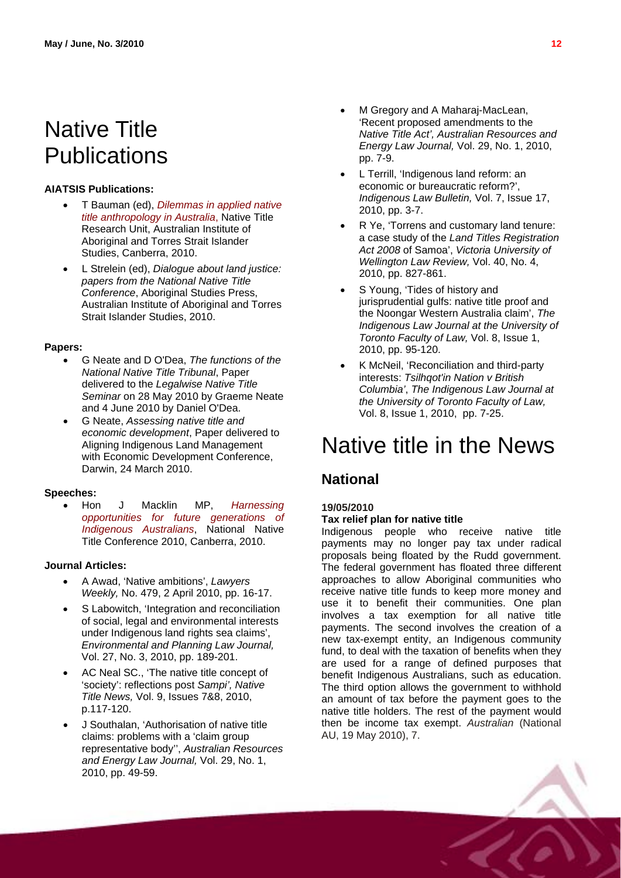# <span id="page-11-0"></span>Native Title **Publications**

#### **AIATSIS Publications:**

- T Bauman (ed), *[Dilemmas in applied native](http://www.aiatsis.gov.au/ntru/documents/Bauman_000.pdf)  [title anthropology in Australia](http://www.aiatsis.gov.au/ntru/documents/Bauman_000.pdf)*, Native Title Research Unit, Australian Institute of Aboriginal and Torres Strait Islander Studies, Canberra, 2010.
- L Strelein (ed), *Dialogue about land justice: papers from the National Native Title*  **Conference, Aboriginal Studies Press,** Australian Institute of Aboriginal and Torres Strait Islander Studies, 2010.

#### **Papers:**

- G Neate and D O'Dea, *The functions of the National Native Title Tribunal*, Paper delivered to the *Legalwise Native Title Seminar* on 28 May 2010 by Graeme Neate and 4 June 2010 by Daniel O'Dea.
- <span id="page-11-1"></span> G Neate, *Assessing native title and economic development*, Paper delivered to Aligning Indigenous Land Management with Economic Development Conference, Darwin, 24 March 2010.

#### **Speeches:**

 Hon J Macklin MP, *[Harnessing](http://www.jennymacklin.fahcsia.gov.au/speeches/2010/Pages/native_title_conference_030610.aspx)  [opportunities for future generations of](http://www.jennymacklin.fahcsia.gov.au/speeches/2010/Pages/native_title_conference_030610.aspx)  [Indigenous Australians](http://www.jennymacklin.fahcsia.gov.au/speeches/2010/Pages/native_title_conference_030610.aspx)*, National Native Title Conference 2010, Canberra, 2010.

#### **Journal Articles:**

- A Awad, 'Native ambitions', *Lawyers Weekly,* No. 479, 2 April 2010, pp. 16-17.
- S Labowitch, 'Integration and reconciliation of social, legal and environmental interests under Indigenous land rights sea claims', *Environmental and Planning Law Journal,*  Vol. 27, No. 3, 2010, pp. 189-201.
- AC Neal SC., 'The native title concept of 'society': reflections post *Sampi', Native Title News,* Vol. 9, Issues 7&8, 2010, p.117-120.
- J Southalan, 'Authorisation of native title claims: problems with a 'claim group representative body'', *Australian Resources and Energy Law Journal,* Vol. 29, No. 1, 2010, pp. 49-59.
- M Gregory and A Maharaj-MacLean, 'Recent proposed amendments to the *Native Title Act', Australian Resources and Energy Law Journal,* Vol. 29, No. 1, 2010, pp. 7-9.
- L Terrill, 'Indigenous land reform: an economic or bureaucratic reform?', *Indigenous Law Bulletin,* Vol. 7, Issue 17, 2010, pp. 3-7.
- R Ye, 'Torrens and customary land tenure: a case study of the *Land Titles Registration Act 2008* of Samoa', *Victoria University of Wellington Law Review,* Vol. 40, No. 4, 2010, pp. 827-861.
- S Young, 'Tides of history and jurisprudential gulfs: native title proof and the Noongar Western Australia claim', *The Indigenous Law Journal at the University of Toronto Faculty of Law,* Vol. 8, Issue 1, 2010, pp. 95-120.
- K McNeil, 'Reconciliation and third-party interests: *Tsilhqot'in Nation v British Columbia'*, *The Indigenous Law Journal at the University of Toronto Faculty of Law,*  Vol. 8, Issue 1, 2010, pp. 7-25.

# Native title in the News

## **National**

#### **19/05/2010 Tax relief plan for native title**

Indigenous people who receive native title payments may no longer pay tax under radical proposals being floated by the Rudd government. The federal government has floated three different approaches to allow Aboriginal communities who receive native title funds to keep more money and use it to benefit their communities. One plan involves a tax exemption for all native title payments. The second involves the creation of a new tax-exempt entity, an Indigenous community fund, to deal with the taxation of benefits when they are used for a range of defined purposes that benefit Indigenous Australians, such as education. The third option allows the government to withhold an amount of tax before the payment goes to the native title holders. The rest of the payment would then be income tax exempt. *Australian* (National AU, 19 May 2010), 7.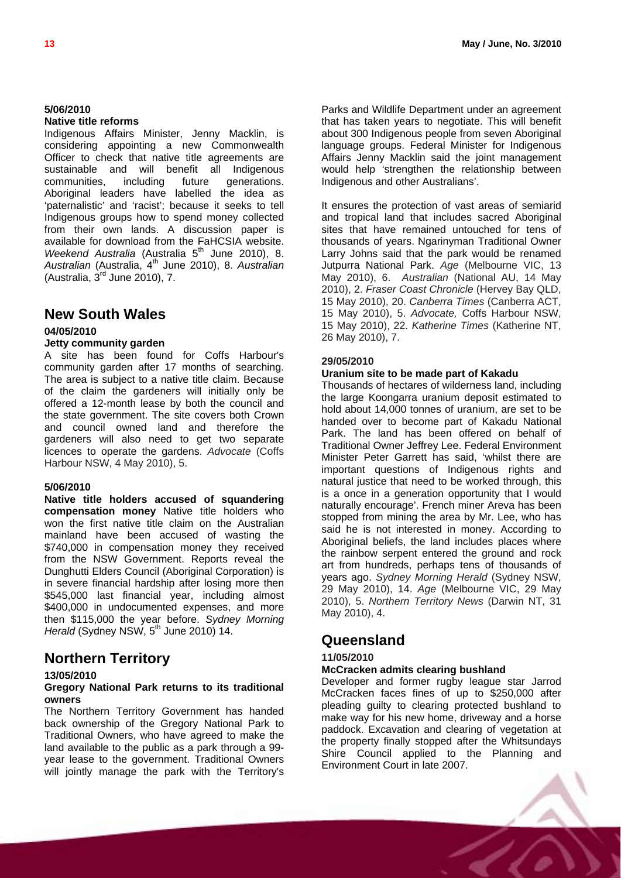### **5/06/2010**

#### **Native title reforms**

Indigenous Affairs Minister, Jenny Macklin, is considering appointing a new Commonwealth Officer to check that native title agreements are sustainable and will benefit all Indigenous communities, including future generations. Aboriginal leaders have labelled the idea as 'paternalistic' and 'racist'; because it seeks to tell Indigenous groups how to spend money collected from their own lands. A discussion paper is available for download from the FaHCSIA website. *Weekend Australia* (Australia 5<sup>th</sup> June 2010), 8. *Australian* (Australia, 4th June 2010), 8. *Australian* (Australia,  $3<sup>rd</sup>$  June 2010), 7.

## **New South Wales**

#### **04/05/2010**

#### **Jetty community garden**

A site has been found for Coffs Harbour's community garden after 17 months of searching. The area is subject to a native title claim. Because of the claim the gardeners will initially only be offered a 12-month lease by both the council and the state government. The site covers both Crown and council owned land and therefore the gardeners will also need to get two separate licences to operate the gardens. *Advocate* (Coffs Harbour NSW, 4 May 2010), 5.

#### **5/06/2010**

**Native title holders accused of squandering compensation money** Native title holders who won the first native title claim on the Australian mainland have been accused of wasting the \$740,000 in compensation money they received from the NSW Government. Reports reveal the Dunghutti Elders Council (Aboriginal Corporation) is in severe financial hardship after losing more then \$545,000 last financial year, including almost \$400,000 in undocumented expenses, and more then \$115,000 the year before. *Sydney Morning Herald* (Sydney NSW, 5<sup>th</sup> June 2010) 14.

## **Northern Territory**

#### **13/05/2010**

#### **Gregory National Park returns to its traditional owners**

The Northern Territory Government has handed back ownership of the Gregory National Park to Traditional Owners, who have agreed to make the land available to the public as a park through a 99 year lease to the government. Traditional Owners will jointly manage the park with the Territory's

Parks and Wildlife Department under an agreement that has taken years to negotiate. This will benefit about 300 Indigenous people from seven Aboriginal language groups. Federal Minister for Indigenous Affairs Jenny Macklin said the joint management would help 'strengthen the relationship between Indigenous and other Australians'.

It ensures the protection of vast areas of semiarid and tropical land that includes sacred Aboriginal sites that have remained untouched for tens of thousands of years. Ngarinyman Traditional Owner Larry Johns said that the park would be renamed Jutpurra National Park. *Age* (Melbourne VIC, 13 May 2010), 6. *Australian* (National AU, 14 May 2010), 2. *Fraser Coast Chronicle* (Hervey Bay QLD, 15 May 2010), 20. *Canberra Times* (Canberra ACT, 15 May 2010), 5. *Advocate,* Coffs Harbour NSW, 15 May 2010), 22. *Katherine Times* (Katherine NT, 26 May 2010), 7.

#### **29/05/2010**

#### **Uranium site to be made part of Kakadu**

Thousands of hectares of wilderness land, including the large Koongarra uranium deposit estimated to hold about 14,000 tonnes of uranium, are set to be handed over to become part of Kakadu National Park. The land has been offered on behalf of Traditional Owner Jeffrey Lee. Federal Environment Minister Peter Garrett has said, 'whilst there are important questions of Indigenous rights and natural justice that need to be worked through, this is a once in a generation opportunity that I would naturally encourage'. French miner Areva has been stopped from mining the area by Mr. Lee, who has said he is not interested in money. According to Aboriginal beliefs, the land includes places where the rainbow serpent entered the ground and rock art from hundreds, perhaps tens of thousands of years ago. *Sydney Morning Herald* (Sydney NSW, 29 May 2010), 14. *Age* (Melbourne VIC, 29 May 2010), 5. *Northern Territory News* (Darwin NT, 31 May 2010), 4.

## **Queensland**

#### **11/05/2010**

#### **McCracken admits clearing bushland**

Developer and former rugby league star Jarrod McCracken faces fines of up to \$250,000 after pleading guilty to clearing protected bushland to make way for his new home, driveway and a horse paddock. Excavation and clearing of vegetation at the property finally stopped after the Whitsundays Shire Council applied to the Planning and Environment Court in late 2007.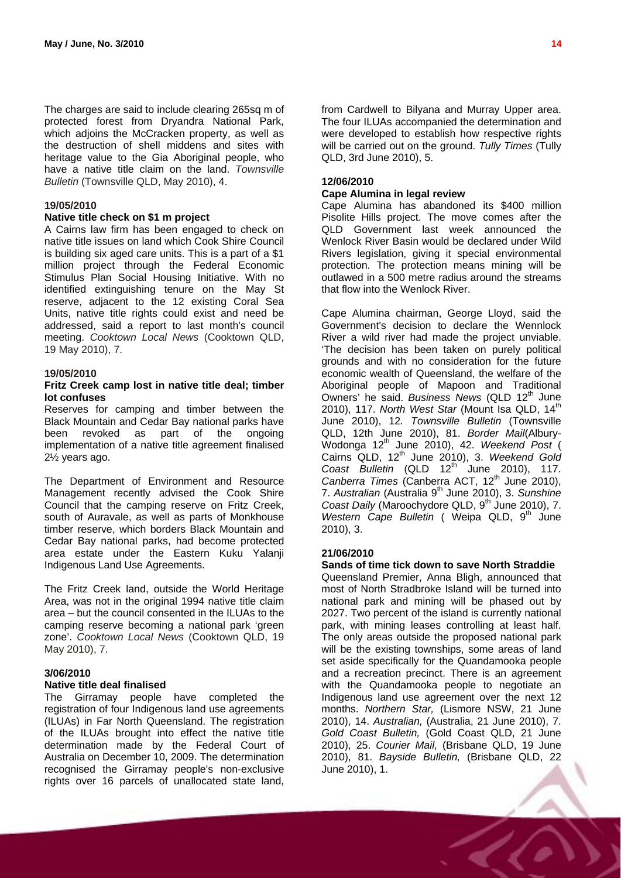The charges are said to include clearing 265sq m of protected forest from Dryandra National Park, which adjoins the McCracken property, as well as the destruction of shell middens and sites with heritage value to the Gia Aboriginal people, who have a native title claim on the land. *Townsville Bulletin* (Townsville QLD, May 2010), 4.

#### **19/05/2010**

#### **Native title check on \$1 m project**

A Cairns law firm has been engaged to check on native title issues on land which Cook Shire Council is building six aged care units. This is a part of a \$1 million project through the Federal Economic Stimulus Plan Social Housing Initiative. With no identified extinguishing tenure on the May St reserve, adjacent to the 12 existing Coral Sea Units, native title rights could exist and need be addressed, said a report to last month's council meeting. *Cooktown Local News* (Cooktown QLD, 19 May 2010), 7.

#### **19/05/2010**

#### **Fritz Creek camp lost in native title deal; timber lot confuses**

Reserves for camping and timber between the Black Mountain and Cedar Bay national parks have been revoked as part of the ongoing implementation of a native title agreement finalised 2½ years ago.

The Department of Environment and Resource Management recently advised the Cook Shire Council that the camping reserve on Fritz Creek, south of Auravale, as well as parts of Monkhouse timber reserve, which borders Black Mountain and Cedar Bay national parks, had become protected area estate under the Eastern Kuku Yalanji Indigenous Land Use Agreements.

The Fritz Creek land, outside the World Heritage Area, was not in the original 1994 native title claim area – but the council consented in the ILUAs to the camping reserve becoming a national park 'green zone'. *Cooktown Local News* (Cooktown QLD, 19 May 2010), 7.

#### **3/06/2010**

#### **Native title deal finalised**

The Girramay people have completed the registration of four Indigenous land use agreements (ILUAs) in Far North Queensland. The registration of the ILUAs brought into effect the native title determination made by the Federal Court of Australia on December 10, 2009. The determination recognised the Girramay people's non-exclusive rights over 16 parcels of unallocated state land,

from Cardwell to Bilyana and Murray Upper area. The four ILUAs accompanied the determination and were developed to establish how respective rights will be carried out on the ground. *Tully Times* (Tully QLD, 3rd June 2010), 5.

#### **12/06/2010**

#### **Cape Alumina in legal review**

Cape Alumina has abandoned its \$400 million Pisolite Hills project. The move comes after the QLD Government last week announced the Wenlock River Basin would be declared under Wild Rivers legislation, giving it special environmental protection. The protection means mining will be outlawed in a 500 metre radius around the streams that flow into the Wenlock River.

Cape Alumina chairman, George Lloyd, said the Government's decision to declare the Wennlock River a wild river had made the project unviable. 'The decision has been taken on purely political grounds and with no consideration for the future economic wealth of Queensland, the welfare of the Aboriginal people of Mapoon and Traditional Owners' he said. *Business News* (QLD 12<sup>th</sup> June 2010), 117. *North West Star* (Mount Isa QLD, 14<sup>th</sup> June 2010), 12*. Townsville Bulletin* (Townsville QLD, 12th June 2010), 81. *Border Mail*(Albury-Wodonga 12th June 2010), 42. *Weekend Post* ( Cairns QLD, 12<sup>th</sup> June 2010), 3. Weekend Gold *Coast Bulletin* (QLD 12<sup>th</sup> June 2010), 117. Canberra Times (Canberra ACT, 12<sup>th</sup> June 2010), 7. Australian (Australia 9<sup>th</sup> June 2010), 3. Sunshine *Coast Daily* (Maroochydore QLD, 9<sup>th</sup> June 2010), 7. *Western Cape Bulletin* ( Weipa QLD, 9<sup>th</sup> June 2010), 3.

#### **21/06/2010**

#### **Sands of time tick down to save North Straddie**

Queensland Premier, Anna Bligh, announced that most of North Stradbroke Island will be turned into national park and mining will be phased out by 2027. Two percent of the island is currently national park, with mining leases controlling at least half. The only areas outside the proposed national park will be the existing townships, some areas of land set aside specifically for the Quandamooka people and a recreation precinct. There is an agreement with the Quandamooka people to negotiate an Indigenous land use agreement over the next 12 months. *Northern Star,* (Lismore NSW, 21 June 2010), 14. *Australian,* (Australia, 21 June 2010), 7. *Gold Coast Bulletin,* (Gold Coast QLD, 21 June 2010), 25. *Courier Mail,* (Brisbane QLD, 19 June 2010), 81. *Bayside Bulletin,* (Brisbane QLD, 22 June 2010), 1.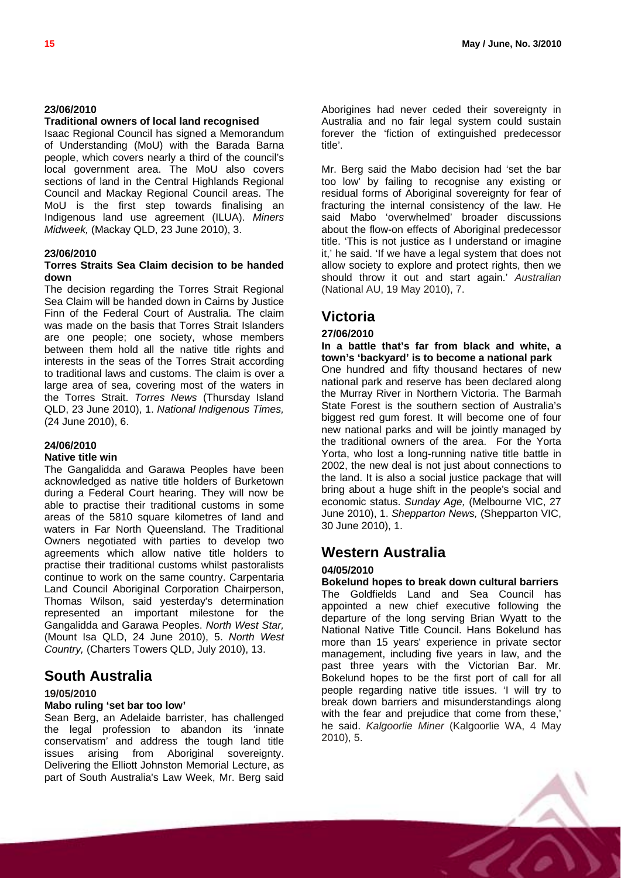#### **23/06/2010**

#### **Traditional owners of local land recognised**

Isaac Regional Council has signed a Memorandum of Understanding (MoU) with the Barada Barna people, which covers nearly a third of the council's local government area. The MoU also covers sections of land in the Central Highlands Regional Council and Mackay Regional Council areas. The MoU is the first step towards finalising an Indigenous land use agreement (ILUA). *Miners Midweek,* (Mackay QLD, 23 June 2010), 3.

#### **23/06/2010**

#### **Torres Straits Sea Claim decision to be handed down**

The decision regarding the Torres Strait Regional Sea Claim will be handed down in Cairns by Justice Finn of the Federal Court of Australia. The claim was made on the basis that Torres Strait Islanders are one people; one society, whose members between them hold all the native title rights and interests in the seas of the Torres Strait according to traditional laws and customs. The claim is over a large area of sea, covering most of the waters in the Torres Strait. *Torres News* (Thursday Island QLD, 23 June 2010), 1. *National Indigenous Times,*  (24 June 2010), 6.

#### **24/06/2010**

#### **Native title win**

The Gangalidda and Garawa Peoples have been acknowledged as native title holders of Burketown during a Federal Court hearing. They will now be able to practise their traditional customs in some areas of the 5810 square kilometres of land and waters in Far North Queensland. The Traditional Owners negotiated with parties to develop two agreements which allow native title holders to practise their traditional customs whilst pastoralists continue to work on the same country. Carpentaria Land Council Aboriginal Corporation Chairperson, Thomas Wilson, said yesterday's determination represented an important milestone for the Gangalidda and Garawa Peoples. *North West Star,*  (Mount Isa QLD, 24 June 2010), 5. *North West Country,* (Charters Towers QLD, July 2010), 13.

# **South Australia**

#### **19/05/2010**

#### **Mabo ruling 'set bar too low'**

Sean Berg, an Adelaide barrister, has challenged the legal profession to abandon its 'innate conservatism' and address the tough land title issues arising from Aboriginal sovereignty. Delivering the Elliott Johnston Memorial Lecture, as part of South Australia's Law Week, Mr. Berg said Aborigines had never ceded their sovereignty in Australia and no fair legal system could sustain forever the 'fiction of extinguished predecessor title'.

Mr. Berg said the Mabo decision had 'set the bar too low' by failing to recognise any existing or residual forms of Aboriginal sovereignty for fear of fracturing the internal consistency of the law. He said Mabo 'overwhelmed' broader discussions about the flow-on effects of Aboriginal predecessor title. 'This is not justice as I understand or imagine it,' he said. 'If we have a legal system that does not allow society to explore and protect rights, then we should throw it out and start again.' *Australian* (National AU, 19 May 2010), 7.

# **Victoria**

#### **27/06/2010**

**In a battle that's far from black and white, a town's 'backyard' is to become a national park** One hundred and fifty thousand hectares of new national park and reserve has been declared along the Murray River in Northern Victoria. The Barmah State Forest is the southern section of Australia's biggest red gum forest. It will become one of four new national parks and will be jointly managed by the traditional owners of the area. For the Yorta Yorta, who lost a long-running native title battle in 2002, the new deal is not just about connections to the land. It is also a social justice package that will bring about a huge shift in the people's social and economic status. *Sunday Age,* (Melbourne VIC, 27 June 2010), 1. *Shepparton News,* (Shepparton VIC, 30 June 2010), 1.

## **Western Australia**

#### **04/05/2010**

**Bokelund hopes to break down cultural barriers** The Goldfields Land and Sea Council has appointed a new chief executive following the departure of the long serving Brian Wyatt to the National Native Title Council. Hans Bokelund has more than 15 years' experience in private sector management, including five years in law, and the past three years with the Victorian Bar. Mr. Bokelund hopes to be the first port of call for all people regarding native title issues. 'I will try to break down barriers and misunderstandings along with the fear and prejudice that come from these.' he said. *Kalgoorlie Miner* (Kalgoorlie WA, 4 May 2010), 5.

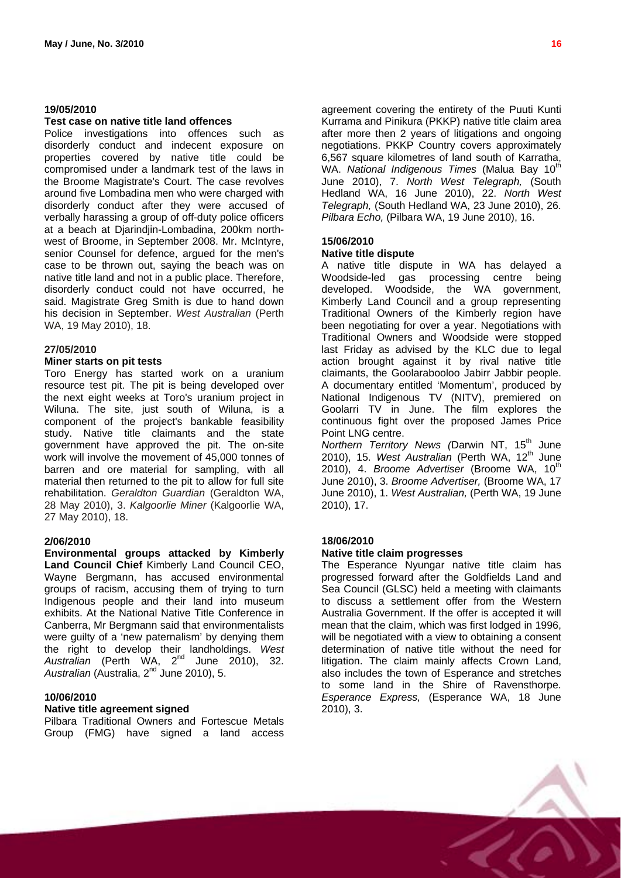#### **19/05/2010**

#### **Test case on native title land offences**

Police investigations into offences such as disorderly conduct and indecent exposure on properties covered by native title could be compromised under a landmark test of the laws in the Broome Magistrate's Court. The case revolves around five Lombadina men who were charged with disorderly conduct after they were accused of verbally harassing a group of off-duty police officers at a beach at Djarindjin-Lombadina, 200km northwest of Broome, in September 2008. Mr. McIntyre, senior Counsel for defence, argued for the men's case to be thrown out, saying the beach was on native title land and not in a public place. Therefore, disorderly conduct could not have occurred, he said. Magistrate Greg Smith is due to hand down his decision in September. *West Australian* (Perth WA, 19 May 2010), 18.

#### **27/05/2010**

#### **Miner starts on pit tests**

Toro Energy has started work on a uranium resource test pit. The pit is being developed over the next eight weeks at Toro's uranium project in Wiluna. The site, just south of Wiluna, is a component of the project's bankable feasibility study. Native title claimants and the state government have approved the pit. The on-site work will involve the movement of 45,000 tonnes of barren and ore material for sampling, with all material then returned to the pit to allow for full site rehabilitation. *Geraldton Guardian* (Geraldton WA, 28 May 2010), 3. *Kalgoorlie Miner* (Kalgoorlie WA, 27 May 2010), 18.

#### **2/06/2010**

**Environmental groups attacked by Kimberly Land Council Chief** Kimberly Land Council CEO, Wayne Bergmann, has accused environmental groups of racism, accusing them of trying to turn Indigenous people and their land into museum exhibits. At the National Native Title Conference in Canberra, Mr Bergmann said that environmentalists were guilty of a 'new paternalism' by denying them the right to develop their landholdings. *West*  Australian (Perth WA, 2<sup>nd</sup> June 2010), 32. *Australian* (Australia, 2nd June 2010), 5.

#### **10/06/2010**

#### **Native title agreement signed**

Pilbara Traditional Owners and Fortescue Metals Group (FMG) have signed a land access agreement covering the entirety of the Puuti Kunti Kurrama and Pinikura (PKKP) native title claim area after more then 2 years of litigations and ongoing negotiations. PKKP Country covers approximately 6,567 square kilometres of land south of Karratha, WA. National Indigenous Times (Malua Bay 10<sup>th</sup> June 2010), 7. *North West Telegraph,* (South Hedland WA, 16 June 2010), 22. *North West Telegraph,* (South Hedland WA, 23 June 2010), 26. *Pilbara Echo,* (Pilbara WA, 19 June 2010), 16.

#### **15/06/2010**

#### **Native title dispute**

A native title dispute in WA has delayed a Woodside-led gas processing centre being developed. Woodside, the WA government, Kimberly Land Council and a group representing Traditional Owners of the Kimberly region have been negotiating for over a year. Negotiations with Traditional Owners and Woodside were stopped last Friday as advised by the KLC due to legal action brought against it by rival native title claimants, the Goolarabooloo Jabirr Jabbir people. A documentary entitled 'Momentum', produced by National Indigenous TV (NITV), premiered on Goolarri TV in June. The film explores the continuous fight over the proposed James Price Point LNG centre.

*Northern Territory News (*Darwin NT, 15th June 2010), 15. *West Australian* (Perth WA, 12th June 2010), 4. *Broome Advertiser* (Broome WA, 10<sup>th</sup> June 2010), 3. *Broome Advertiser,* (Broome WA, 17 June 2010), 1. *West Australian,* (Perth WA, 19 June 2010), 17.

#### **18/06/2010**

#### **Native title claim progresses**

The Esperance Nyungar native title claim has progressed forward after the Goldfields Land and Sea Council (GLSC) held a meeting with claimants to discuss a settlement offer from the Western Australia Government. If the offer is accepted it will mean that the claim, which was first lodged in 1996, will be negotiated with a view to obtaining a consent determination of native title without the need for litigation. The claim mainly affects Crown Land, also includes the town of Esperance and stretches to some land in the Shire of Ravensthorpe. *Esperance Express,* (Esperance WA, 18 June 2010), 3.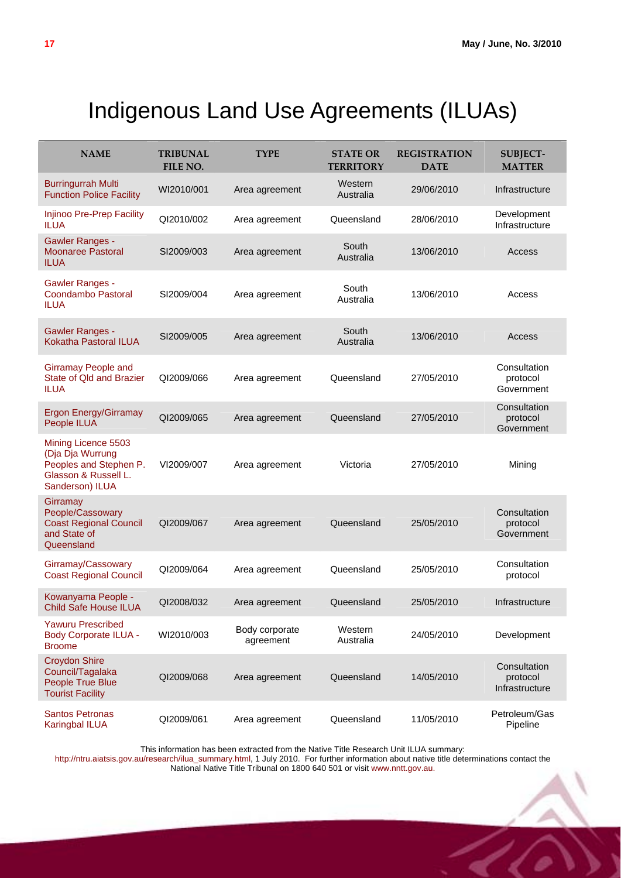# Indigenous Land Use Agreements (ILUAs)

<span id="page-16-0"></span>

| <b>NAME</b>                                                                                                  | <b>TRIBUNAL</b><br>FILE NO. | <b>TYPE</b>                 | <b>STATE OR</b><br><b>TERRITORY</b> | <b>REGISTRATION</b><br><b>DATE</b> | <b>SUBJECT-</b><br><b>MATTER</b>           |
|--------------------------------------------------------------------------------------------------------------|-----------------------------|-----------------------------|-------------------------------------|------------------------------------|--------------------------------------------|
| <b>Burringurrah Multi</b><br><b>Function Police Facility</b>                                                 | WI2010/001                  | Area agreement              | Western<br>Australia                | 29/06/2010                         | Infrastructure                             |
| Injinoo Pre-Prep Facility<br>ILUA                                                                            | QI2010/002                  | Area agreement              | Queensland                          | 28/06/2010                         | Development<br>Infrastructure              |
| <b>Gawler Ranges -</b><br><b>Moonaree Pastoral</b><br><b>ILUA</b>                                            | SI2009/003                  | Area agreement              | South<br>Australia                  | 13/06/2010                         | Access                                     |
| Gawler Ranges -<br>Coondambo Pastoral<br><b>ILUA</b>                                                         | SI2009/004                  | Area agreement              | South<br>Australia                  | 13/06/2010                         | Access                                     |
| <b>Gawler Ranges -</b><br><b>Kokatha Pastoral ILUA</b>                                                       | SI2009/005                  | Area agreement              | South<br>Australia                  | 13/06/2010                         | Access                                     |
| <b>Girramay People and</b><br>State of Qld and Brazier<br><b>ILUA</b>                                        | QI2009/066                  | Area agreement              | Queensland                          | 27/05/2010                         | Consultation<br>protocol<br>Government     |
| <b>Ergon Energy/Girramay</b><br>People ILUA                                                                  | QI2009/065                  | Area agreement              | Queensland                          | 27/05/2010                         | Consultation<br>protocol<br>Government     |
| Mining Licence 5503<br>(Dja Dja Wurrung<br>Peoples and Stephen P.<br>Glasson & Russell L.<br>Sanderson) ILUA | VI2009/007                  | Area agreement              | Victoria                            | 27/05/2010                         | Mining                                     |
| Girramay<br>People/Cassowary<br><b>Coast Regional Council</b><br>and State of<br>Queensland                  | QI2009/067                  | Area agreement              | Queensland                          | 25/05/2010                         | Consultation<br>protocol<br>Government     |
| Girramay/Cassowary<br><b>Coast Regional Council</b>                                                          | QI2009/064                  | Area agreement              | Queensland                          | 25/05/2010                         | Consultation<br>protocol                   |
| Kowanyama People -<br>Child Safe House ILUA                                                                  | QI2008/032                  | Area agreement              | Queensland                          | 25/05/2010                         | Infrastructure                             |
| <b>Yawuru Prescribed</b><br><b>Body Corporate ILUA -</b><br><b>Broome</b>                                    | WI2010/003                  | Body corporate<br>agreement | Western<br>Australia                | 24/05/2010                         | Development                                |
| <b>Croydon Shire</b><br>Council/Tagalaka<br>People True Blue<br><b>Tourist Facility</b>                      | QI2009/068                  | Area agreement              | Queensland                          | 14/05/2010                         | Consultation<br>protocol<br>Infrastructure |
| <b>Santos Petronas</b><br><b>Karingbal ILUA</b>                                                              | QI2009/061                  | Area agreement              | Queensland                          | 11/05/2010                         | Petroleum/Gas<br>Pipeline                  |

This information has been extracted from the Native Title Research Unit ILUA summary:

[http://ntru.aiatsis.gov.au/research/ilua\\_summary.html](http://ntru.aiatsis.gov.au/research/ilua_summary.html), 1 July 2010. For further information about native title determinations contact the National Native Title Tribunal on 1800 640 501 or visit [www.nntt.gov.au.](http://www.nntt.gov.au/)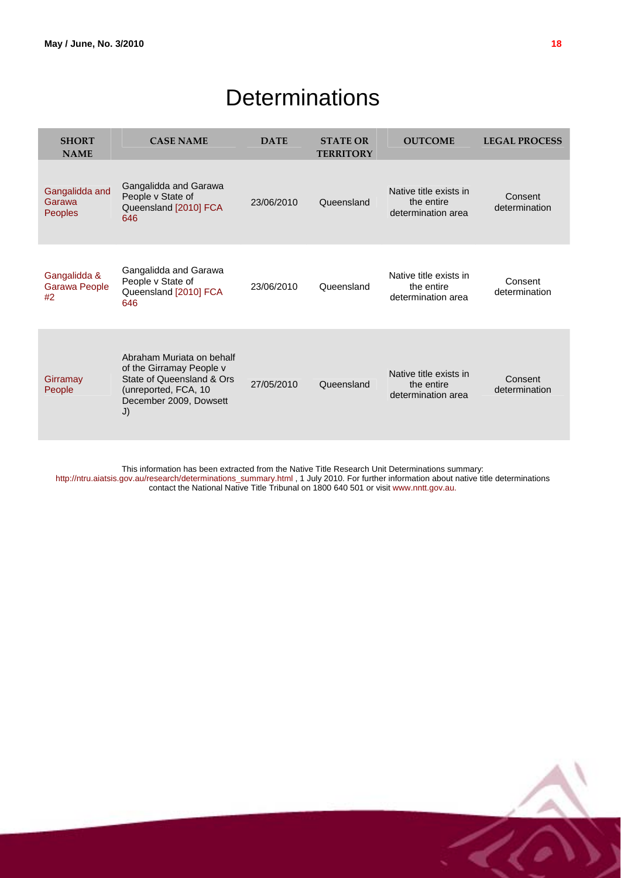# **Determinations**

<span id="page-17-0"></span>

| <b>SHORT</b><br><b>NAME</b>                | <b>CASE NAME</b>                                                                                                                           | <b>DATE</b> | <b>STATE OR</b><br><b>TERRITORY</b> | <b>OUTCOME</b>                                             | <b>LEGAL PROCESS</b>     |
|--------------------------------------------|--------------------------------------------------------------------------------------------------------------------------------------------|-------------|-------------------------------------|------------------------------------------------------------|--------------------------|
| Gangalidda and<br>Garawa<br><b>Peoples</b> | Gangalidda and Garawa<br>People v State of<br>Queensland [2010] FCA<br>646                                                                 | 23/06/2010  | Queensland                          | Native title exists in<br>the entire<br>determination area | Consent<br>determination |
| Gangalidda &<br>Garawa People<br>#2        | Gangalidda and Garawa<br>People v State of<br>Queensland [2010] FCA<br>646                                                                 | 23/06/2010  | Queensland                          | Native title exists in<br>the entire<br>determination area | Consent<br>determination |
| Girramay<br>People                         | Abraham Muriata on behalf<br>of the Girramay People v<br>State of Queensland & Ors<br>(unreported, FCA, 10<br>December 2009, Dowsett<br>J) | 27/05/2010  | Queensland                          | Native title exists in<br>the entire<br>determination area | Consent<br>determination |

This information has been extracted from the Native Title Research Unit Determinations summary:

[http://ntru.aiatsis.gov.au/research/determinations\\_summary.html](http://ntru.aiatsis.gov.au/research/determinations_summary.html) , 1 July 2010. For further information about native title determinations contact the National Native Title Tribunal on 1800 640 501 or visit [www.nntt.gov.au.](http://www.nntt.gov.au/)



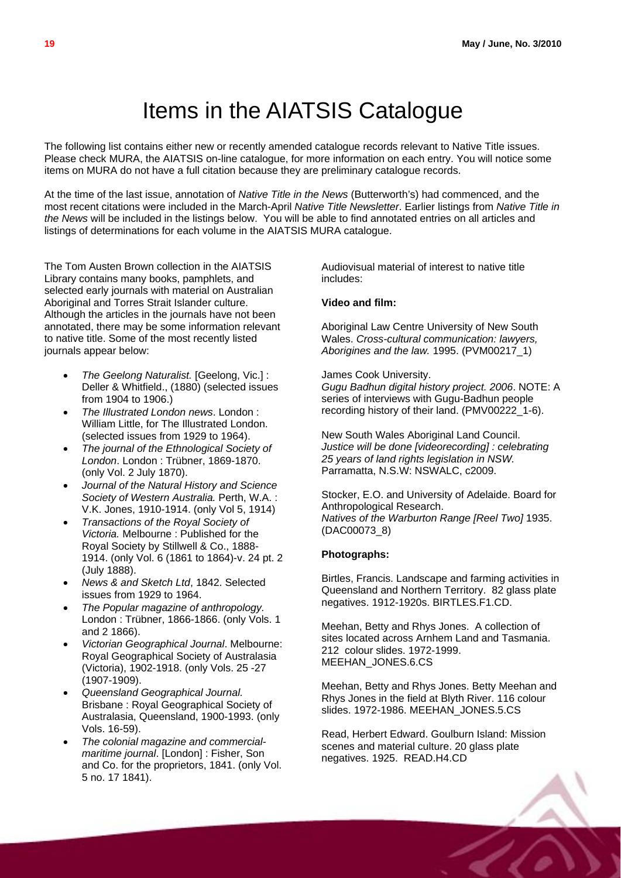# Items in the AIATSIS Catalogue

<span id="page-18-0"></span>The following list contains either new or recently amended catalogue records relevant to Native Title issues. Please check MURA, the AIATSIS on-line catalogue, for more information on each entry. You will notice some items on MURA do not have a full citation because they are preliminary catalogue records.

At the time of the last issue, annotation of *Native Title in the News* (Butterworth's) had commenced, and the most recent citations were included in the March-April *Native Title Newsletter*. Earlier listings from *Native Title in the News* will be included in the listings below. You will be able to find annotated entries on all articles and listings of determinations for each volume in the AIATSIS MURA catalogue.

The Tom Austen Brown collection in the AIATSIS Library contains many books, pamphlets, and selected early journals with material on Australian Aboriginal and Torres Strait Islander culture. Although the articles in the journals have not been annotated, there may be some information relevant to native title. Some of the most recently listed journals appear below:

- *The Geelong Naturalist.* [Geelong, Vic.] : Deller & Whitfield., (1880) (selected issues from 1904 to 1906.)
- *The Illustrated London news*. London : William Little, for The Illustrated London. (selected issues from 1929 to 1964).
- *The journal of the Ethnological Society of London*. London : Trübner, 1869-1870. (only Vol. 2 July 1870).
- *Journal of the Natural History and Science Society of Western Australia.* Perth, W.A. : V.K. Jones, 1910-1914. (only Vol 5, 1914)
- *Transactions of the Royal Society of Victoria.* Melbourne : Published for the Royal Society by Stillwell & Co., 1888- 1914. (only Vol. 6 (1861 to 1864)-v. 24 pt. 2 (July 1888).
- *News & and Sketch Ltd*, 1842. Selected issues from 1929 to 1964.
- *The Popular magazine of anthropology.* London : Trübner, 1866-1866. (only Vols. 1 and 2 1866).
- *Victorian Geographical Journal*. Melbourne: Royal Geographical Society of Australasia (Victoria), 1902-1918. (only Vols. 25 -27 (1907-1909).
- *Queensland Geographical Journal.* Brisbane : Royal Geographical Society of Australasia, Queensland, 1900-1993. (only Vols. 16-59).
- *The colonial magazine and commercialmaritime journal*. [London] : Fisher, Son and Co. for the proprietors, 1841. (only Vol. 5 no. 17 1841).

Audiovisual material of interest to native title includes:

#### **Video and film:**

Aboriginal Law Centre University of New South Wales. *Cross-cultural communication: lawyers, Aborigines and the law.* 1995. (PVM00217\_1)

#### James Cook University.

*Gugu Badhun digital history project. 2006*. NOTE: A series of interviews with Gugu-Badhun people recording history of their land. (PMV00222\_1-6).

New South Wales Aboriginal Land Council. *Justice will be done [videorecording] : celebrating 25 years of land rights legislation in NSW.* Parramatta, N.S.W: NSWALC, c2009.

Stocker, E.O. and University of Adelaide. Board for Anthropological Research. *Natives of the Warburton Range [Reel Two]* 1935. (DAC00073\_8)

#### **Photographs:**

Birtles, Francis. Landscape and farming activities in Queensland and Northern Territory. 82 glass plate negatives. 1912-1920s. BIRTLES.F1.CD.

Meehan, Betty and Rhys Jones. A collection of sites located across Arnhem Land and Tasmania. 212 colour slides. 1972-1999. MEEHAN\_JONES.6.CS

Meehan, Betty and Rhys Jones. Betty Meehan and Rhys Jones in the field at Blyth River. 116 colour slides. 1972-1986. MEEHAN\_JONES.5.CS

Read, Herbert Edward. Goulburn Island: Mission scenes and material culture. 20 glass plate negatives. 1925. READ.H4.CD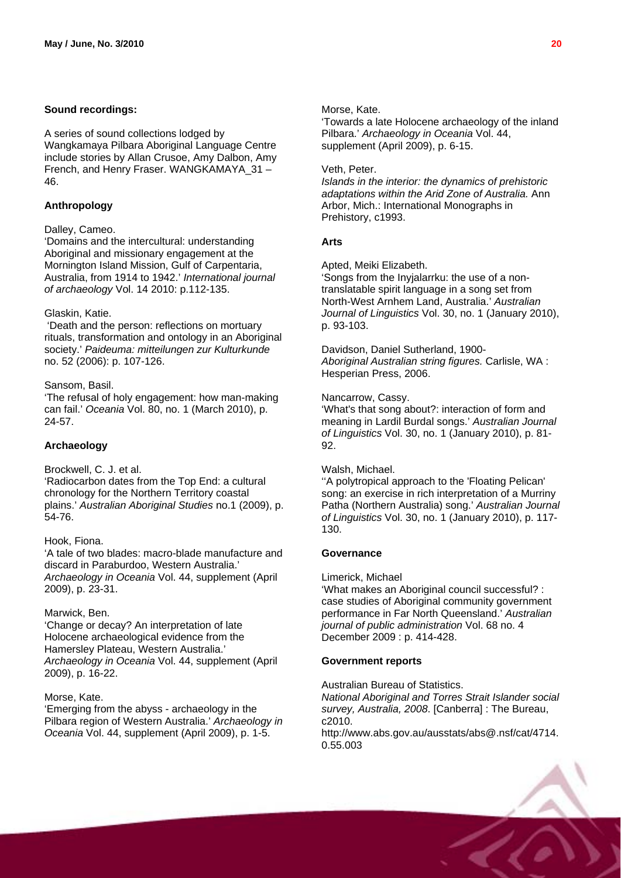#### **Sound recordings:**

A series of sound collections lodged by Wangkamaya Pilbara Aboriginal Language Centre include stories by Allan Crusoe, Amy Dalbon, Amy French, and Henry Fraser. WANGKAMAYA\_31 – 46.

### **Anthropology**

#### Dalley, Cameo.

'Domains and the intercultural: understanding Aboriginal and missionary engagement at the Mornington Island Mission, Gulf of Carpentaria, Australia, from 1914 to 1942.' *International journal of archaeology* Vol. 14 2010: p.112-135.

#### Glaskin, Katie.

 'Death and the person: reflections on mortuary rituals, transformation and ontology in an Aboriginal society.' *Paideuma: mitteilungen zur Kulturkunde* no. 52 (2006): p. 107-126.

#### Sansom, Basil.

'The refusal of holy engagement: how man-making can fail.' *Oceania* Vol. 80, no. 1 (March 2010), p. 24-57.

#### **Archaeology**

Brockwell, C. J. et al.

'Radiocarbon dates from the Top End: a cultural chronology for the Northern Territory coastal plains.' *Australian Aboriginal Studies* no.1 (2009), p. 54-76.

#### Hook, Fiona.

'A tale of two blades: macro-blade manufacture and discard in Paraburdoo, Western Australia.' *Archaeology in Oceania* Vol. 44, supplement (April 2009), p. 23-31.

#### Marwick, Ben.

'Change or decay? An interpretation of late Holocene archaeological evidence from the Hamersley Plateau, Western Australia.' *Archaeology in Oceania* Vol. 44, supplement (April 2009), p. 16-22.

#### Morse, Kate.

'Emerging from the abyss - archaeology in the Pilbara region of Western Australia.' *Archaeology in Oceania* Vol. 44, supplement (April 2009), p. 1-5.

#### Morse, Kate.

'Towards a late Holocene archaeology of the inland Pilbara.' *Archaeology in Oceania* Vol. 44, supplement (April 2009), p. 6-15.

#### Veth, Peter.

*Islands in the interior: the dynamics of prehistoric adaptations within the Arid Zone of Australia.* Ann Arbor, Mich.: International Monographs in Prehistory, c1993.

#### **Arts**

Apted, Meiki Elizabeth.

'Songs from the Inyjalarrku: the use of a nontranslatable spirit language in a song set from North-West Arnhem Land, Australia.' *Australian Journal of Linguistics* Vol. 30, no. 1 (January 2010), p. 93-103.

#### Davidson, Daniel Sutherland, 1900-

*Aboriginal Australian string figures.* Carlisle, WA : Hesperian Press, 2006.

#### Nancarrow, Cassy.

'What's that song about?: interaction of form and meaning in Lardil Burdal songs.' *Australian Journal of Linguistics* Vol. 30, no. 1 (January 2010), p. 81- 92.

#### Walsh, Michael.

''A polytropical approach to the 'Floating Pelican' song: an exercise in rich interpretation of a Murriny Patha (Northern Australia) song.' *Australian Journal of Linguistics* Vol. 30, no. 1 (January 2010), p. 117- 130.

#### **Governance**

#### Limerick, Michael

'What makes an Aboriginal council successful? : case studies of Aboriginal community government performance in Far North Queensland.' *Australian journal of public administration* Vol. 68 no. 4 December 2009 : p. 414-428.

#### **Government reports**

Australian Bureau of Statistics. *National Aboriginal and Torres Strait Islander social survey, Australia, 2008*. [Canberra] : The Bureau, c2010. http://www.abs.gov.au/ausstats/abs@.nsf/cat/4714. 0.55.003

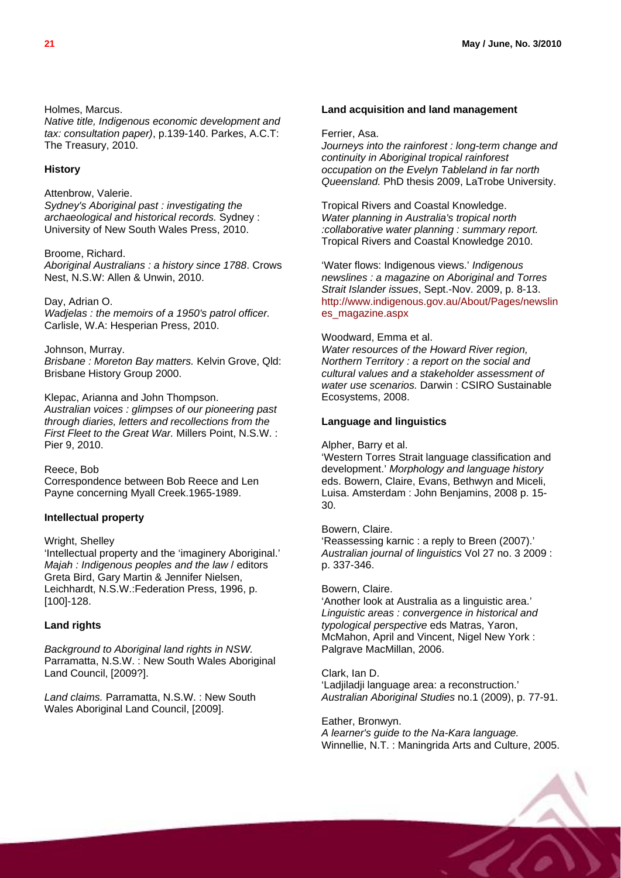Holmes, Marcus.

*Native title, Indigenous economic development and tax: consultation paper)*, p.139-140. Parkes, A.C.T: The Treasury, 2010.

#### **History**

Attenbrow, Valerie. *Sydney's Aboriginal past : investigating the archaeological and historical records.* Sydney : University of New South Wales Press, 2010.

Broome, Richard. *Aboriginal Australians : a history since 1788*. Crows Nest, N.S.W: Allen & Unwin, 2010.

#### Day, Adrian O.

*Wadjelas : the memoirs of a 1950's patrol officer.* Carlisle, W.A: Hesperian Press, 2010.

#### Johnson, Murray.

*Brisbane : Moreton Bay matters.* Kelvin Grove, Qld: Brisbane History Group 2000.

Klepac, Arianna and John Thompson. *Australian voices : glimpses of our pioneering past through diaries, letters and recollections from the First Fleet to the Great War.* Millers Point, N.S.W. : Pier 9, 2010.

Reece, Bob Correspondence between Bob Reece and Len Payne concerning Myall Creek.1965-1989.

#### **Intellectual property**

#### Wright, Shelley

'Intellectual property and the 'imaginery Aboriginal.' *Majah : Indigenous peoples and the law* / editors Greta Bird, Gary Martin & Jennifer Nielsen, Leichhardt, N.S.W.:Federation Press, 1996, p. [100]-128.

#### **Land rights**

*Background to Aboriginal land rights in NSW.* Parramatta, N.S.W. : New South Wales Aboriginal Land Council, [2009?].

*Land claims.* Parramatta, N.S.W. : New South Wales Aboriginal Land Council, [2009].

#### **Land acquisition and land management**

#### Ferrier, Asa.

*Journeys into the rainforest : long-term change and continuity in Aboriginal tropical rainforest occupation on the Evelyn Tableland in far north Queensland.* PhD thesis 2009, LaTrobe University.

Tropical Rivers and Coastal Knowledge. *Water planning in Australia's tropical north :collaborative water planning : summary report.* Tropical Rivers and Coastal Knowledge 2010.

'Water flows: Indigenous views.' *Indigenous newslines : a magazine on Aboriginal and Torres Strait Islander issues*, Sept.-Nov. 2009, p. 8-13. [http://www.indigenous.gov.au/About/Pages/newslin](http://www.indigenous.gov.au/About/Pages/newslines_magazine.aspx) [es\\_magazine.aspx](http://www.indigenous.gov.au/About/Pages/newslines_magazine.aspx) 

#### Woodward, Emma et al.

*Water resources of the Howard River region, Northern Territory : a report on the social and cultural values and a stakeholder assessment of water use scenarios.* Darwin : CSIRO Sustainable Ecosystems, 2008.

#### **Language and linguistics**

Alpher, Barry et al.

'Western Torres Strait language classification and development.' *Morphology and language history* eds. Bowern, Claire, Evans, Bethwyn and Miceli, Luisa. Amsterdam : John Benjamins, 2008 p. 15- 30.

#### Bowern, Claire.

'Reassessing karnic : a reply to Breen (2007).' *Australian journal of linguistics* Vol 27 no. 3 2009 : p. 337-346.

#### Bowern, Claire.

'Another look at Australia as a linguistic area.' *Linguistic areas : convergence in historical and typological perspective* eds Matras, Yaron, McMahon, April and Vincent, Nigel New York : Palgrave MacMillan, 2006.

Clark, Ian D.

'Ladjiladji language area: a reconstruction.' *Australian Aboriginal Studies* no.1 (2009), p. 77-91.

Eather, Bronwyn. *A learner's guide to the Na-Kara language.* Winnellie, N.T. : Maningrida Arts and Culture, 2005.

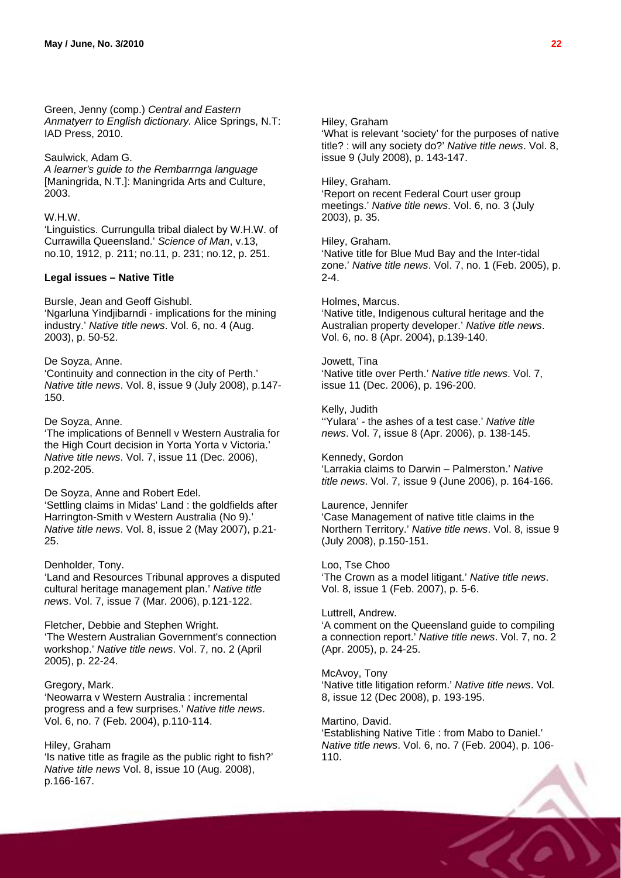Green, Jenny (comp.) *Central and Eastern Anmatyerr to English dictionary.* Alice Springs, N.T: IAD Press, 2010.

#### Saulwick, Adam G.

*A learner's guide to the Rembarrnga language* [Maningrida, N.T.]: Maningrida Arts and Culture, 2003.

#### W.H.W.

'Linguistics. Currungulla tribal dialect by W.H.W. of Currawilla Queensland.' *Science of Man*, v.13, no.10, 1912, p. 211; no.11, p. 231; no.12, p. 251.

#### **Legal issues – Native Title**

Bursle, Jean and Geoff Gishubl. 'Ngarluna Yindjibarndi - implications for the mining industry.' *Native title news*. Vol. 6, no. 4 (Aug. 2003), p. 50-52.

#### De Soyza, Anne.

'Continuity and connection in the city of Perth.' *Native title news*. Vol. 8, issue 9 (July 2008), p.147- 150.

#### De Soyza, Anne.

'The implications of Bennell v Western Australia for the High Court decision in Yorta Yorta v Victoria.' *Native title news*. Vol. 7, issue 11 (Dec. 2006), p.202-205.

#### De Soyza, Anne and Robert Edel.

'Settling claims in Midas' Land : the goldfields after Harrington-Smith v Western Australia (No 9).' *Native title news*. Vol. 8, issue 2 (May 2007), p.21- 25.

#### Denholder, Tony.

'Land and Resources Tribunal approves a disputed cultural heritage management plan.' *Native title news*. Vol. 7, issue 7 (Mar. 2006), p.121-122.

#### Fletcher, Debbie and Stephen Wright. 'The Western Australian Government's connection workshop.' *Native title news*. Vol. 7, no. 2 (April 2005), p. 22-24.

#### Gregory, Mark.

'Neowarra v Western Australia : incremental progress and a few surprises.' *Native title news*. Vol. 6, no. 7 (Feb. 2004), p.110-114.

#### Hiley, Graham

'Is native title as fragile as the public right to fish?' *Native title news* Vol. 8, issue 10 (Aug. 2008), p.166-167.

#### Hiley, Graham

'What is relevant 'society' for the purposes of native title? : will any society do?' *Native title news*. Vol. 8, issue 9 (July 2008), p. 143-147.

#### Hiley, Graham.

'Report on recent Federal Court user group meetings.' *Native title news*. Vol. 6, no. 3 (July 2003), p. 35.

#### Hiley, Graham.

'Native title for Blue Mud Bay and the Inter-tidal zone.' *Native title news*. Vol. 7, no. 1 (Feb. 2005), p. 2-4.

#### Holmes, Marcus.

'Native title, Indigenous cultural heritage and the Australian property developer.' *Native title news*. Vol. 6, no. 8 (Apr. 2004), p.139-140.

#### Jowett, Tina

'Native title over Perth.' *Native title news*. Vol. 7, issue 11 (Dec. 2006), p. 196-200.

### Kelly, Judith

''Yulara' - the ashes of a test case.' *Native title news*. Vol. 7, issue 8 (Apr. 2006), p. 138-145.

#### Kennedy, Gordon 'Larrakia claims to Darwin – Palmerston.' *Native*

*title news*. Vol. 7, issue 9 (June 2006), p. 164-166.

#### Laurence, Jennifer

'Case Management of native title claims in the Northern Territory.' *Native title news*. Vol. 8, issue 9 (July 2008), p.150-151.

#### Loo, Tse Choo

'The Crown as a model litigant.' *Native title news*. Vol. 8, issue 1 (Feb. 2007), p. 5-6.

#### Luttrell, Andrew.

'A comment on the Queensland guide to compiling a connection report.' *Native title news*. Vol. 7, no. 2 (Apr. 2005), p. 24-25.

#### McAvoy, Tony

'Native title litigation reform.' *Native title news*. Vol. 8, issue 12 (Dec 2008), p. 193-195.

#### Martino, David.

'Establishing Native Title : from Mabo to Daniel.' *Native title news*. Vol. 6, no. 7 (Feb. 2004), p. 106- 110.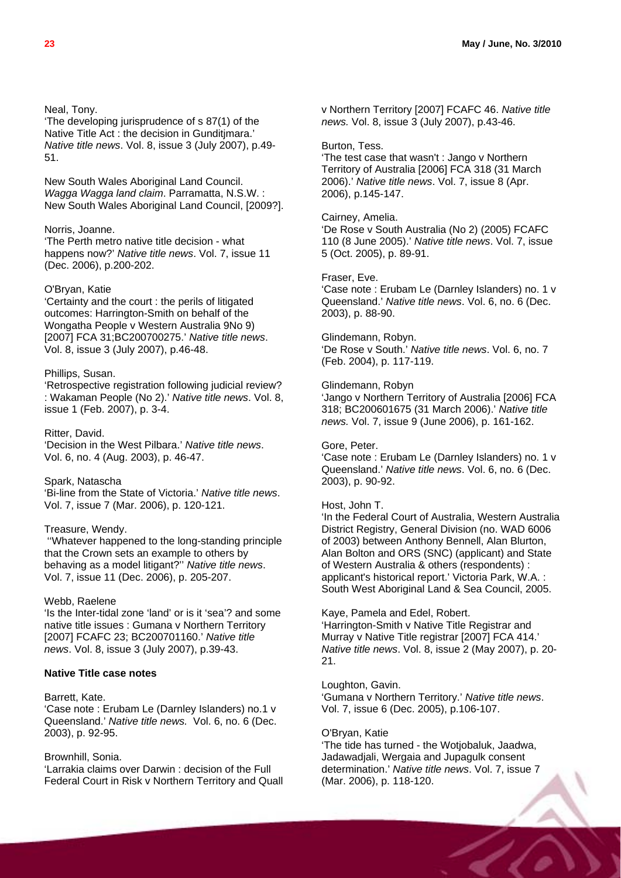#### Neal, Tony.

'The developing jurisprudence of s 87(1) of the Native Title Act : the decision in Gunditjmara.' *Native title news*. Vol. 8, issue 3 (July 2007), p.49- 51.

New South Wales Aboriginal Land Council. *Wagga Wagga land claim*. Parramatta, N.S.W. : New South Wales Aboriginal Land Council, [2009?].

#### Norris, Joanne.

'The Perth metro native title decision - what happens now?' *Native title news*. Vol. 7, issue 11 (Dec. 2006), p.200-202.

#### O'Bryan, Katie

'Certainty and the court : the perils of litigated outcomes: Harrington-Smith on behalf of the Wongatha People v Western Australia 9No 9) [2007] FCA 31;BC200700275.' *Native title news*. Vol. 8, issue 3 (July 2007), p.46-48.

#### Phillips, Susan.

'Retrospective registration following judicial review? : Wakaman People (No 2).' *Native title news*. Vol. 8, issue 1 (Feb. 2007), p. 3-4.

#### Ritter, David.

'Decision in the West Pilbara.' *Native title news*. Vol. 6, no. 4 (Aug. 2003), p. 46-47.

#### Spark, Natascha

'Bi-line from the State of Victoria.' *Native title news*. Vol. 7, issue 7 (Mar. 2006), p. 120-121.

#### Treasure, Wendy.

 ''Whatever happened to the long-standing principle that the Crown sets an example to others by behaving as a model litigant?'' *Native title news*. Vol. 7, issue 11 (Dec. 2006), p. 205-207.

#### Webb, Raelene

'Is the Inter-tidal zone 'land' or is it 'sea'? and some native title issues : Gumana v Northern Territory [2007] FCAFC 23; BC200701160.' *Native title news*. Vol. 8, issue 3 (July 2007), p.39-43.

#### **Native Title case notes**

#### Barrett, Kate.

'Case note : Erubam Le (Darnley Islanders) no.1 v Queensland.' *Native title news.* Vol. 6, no. 6 (Dec. 2003), p. 92-95.

#### Brownhill, Sonia.

'Larrakia claims over Darwin : decision of the Full Federal Court in Risk v Northern Territory and Quall v Northern Territory [2007] FCAFC 46. *Native title news.* Vol. 8, issue 3 (July 2007), p.43-46.

#### Burton, Tess.

'The test case that wasn't : Jango v Northern Territory of Australia [2006] FCA 318 (31 March 2006).' *Native title news*. Vol. 7, issue 8 (Apr. 2006), p.145-147.

#### Cairney, Amelia.

'De Rose v South Australia (No 2) (2005) FCAFC 110 (8 June 2005).' *Native title news*. Vol. 7, issue 5 (Oct. 2005), p. 89-91.

#### Fraser, Eve.

'Case note : Erubam Le (Darnley Islanders) no. 1 v Queensland.' *Native title news*. Vol. 6, no. 6 (Dec. 2003), p. 88-90.

#### Glindemann, Robyn.

'De Rose v South.' *Native title news*. Vol. 6, no. 7 (Feb. 2004), p. 117-119.

#### Glindemann, Robyn

'Jango v Northern Territory of Australia [2006] FCA 318; BC200601675 (31 March 2006).' *Native title news.* Vol. 7, issue 9 (June 2006), p. 161-162.

#### Gore, Peter.

'Case note : Erubam Le (Darnley Islanders) no. 1 v Queensland.' *Native title news*. Vol. 6, no. 6 (Dec. 2003), p. 90-92.

#### Host, John T.

'In the Federal Court of Australia, Western Australia District Registry, General Division (no. WAD 6006 of 2003) between Anthony Bennell, Alan Blurton, Alan Bolton and ORS (SNC) (applicant) and State of Western Australia & others (respondents) : applicant's historical report.' Victoria Park, W.A. : South West Aboriginal Land & Sea Council, 2005.

#### Kaye, Pamela and Edel, Robert.

'Harrington-Smith v Native Title Registrar and Murray v Native Title registrar [2007] FCA 414.' *Native title news*. Vol. 8, issue 2 (May 2007), p. 20- 21.

#### Loughton, Gavin.

'Gumana v Northern Territory.' *Native title news*. Vol. 7, issue 6 (Dec. 2005), p.106-107.

#### O'Bryan, Katie

'The tide has turned - the Wotjobaluk, Jaadwa, Jadawadjali, Wergaia and Jupagulk consent determination.' *Native title news*. Vol. 7, issue 7 (Mar. 2006), p. 118-120.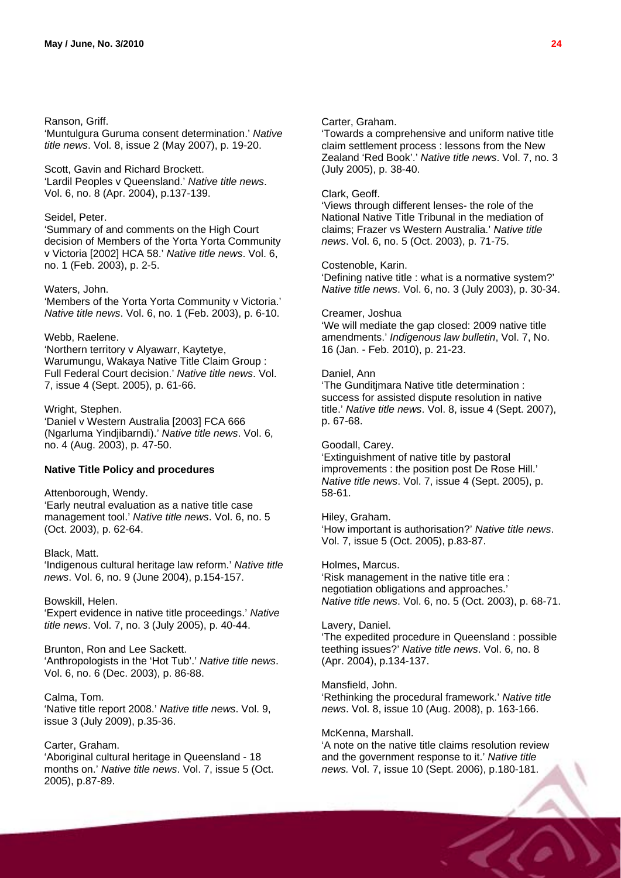#### Ranson, Griff.

'Muntulgura Guruma consent determination.' *Native title news*. Vol. 8, issue 2 (May 2007), p. 19-20.

Scott, Gavin and Richard Brockett. 'Lardil Peoples v Queensland.' *Native title news*. Vol. 6, no. 8 (Apr. 2004), p.137-139.

#### Seidel, Peter.

'Summary of and comments on the High Court decision of Members of the Yorta Yorta Community v Victoria [2002] HCA 58.' *Native title news*. Vol. 6, no. 1 (Feb. 2003), p. 2-5.

#### Waters, John.

'Members of the Yorta Yorta Community v Victoria.' *Native title news*. Vol. 6, no. 1 (Feb. 2003), p. 6-10.

#### Webb, Raelene.

'Northern territory v Alyawarr, Kaytetye, Warumungu, Wakaya Native Title Claim Group : Full Federal Court decision.' *Native title news*. Vol. 7, issue 4 (Sept. 2005), p. 61-66.

#### Wright, Stephen.

'Daniel v Western Australia [2003] FCA 666 (Ngarluma Yindjibarndi).' *Native title news*. Vol. 6, no. 4 (Aug. 2003), p. 47-50.

#### **Native Title Policy and procedures**

Attenborough, Wendy.

'Early neutral evaluation as a native title case management tool.' *Native title news*. Vol. 6, no. 5 (Oct. 2003), p. 62-64.

#### Black, Matt.

'Indigenous cultural heritage law reform.' *Native title news*. Vol. 6, no. 9 (June 2004), p.154-157.

#### Bowskill, Helen.

'Expert evidence in native title proceedings.' *Native title news*. Vol. 7, no. 3 (July 2005), p. 40-44.

Brunton, Ron and Lee Sackett. 'Anthropologists in the 'Hot Tub'.' *Native title news*. Vol. 6, no. 6 (Dec. 2003), p. 86-88.

#### Calma, Tom.

'Native title report 2008.' *Native title news*. Vol. 9, issue 3 (July 2009), p.35-36.

#### Carter, Graham.

'Aboriginal cultural heritage in Queensland - 18 months on.' *Native title news*. Vol. 7, issue 5 (Oct. 2005), p.87-89.

#### Carter, Graham.

'Towards a comprehensive and uniform native title claim settlement process : lessons from the New Zealand 'Red Book'.' *Native title news*. Vol. 7, no. 3 (July 2005), p. 38-40.

### Clark, Geoff.

'Views through different lenses- the role of the National Native Title Tribunal in the mediation of claims; Frazer vs Western Australia.' *Native title news*. Vol. 6, no. 5 (Oct. 2003), p. 71-75.

#### Costenoble, Karin.

'Defining native title : what is a normative system?' *Native title news*. Vol. 6, no. 3 (July 2003), p. 30-34.

#### Creamer, Joshua

'We will mediate the gap closed: 2009 native title amendments.' *Indigenous law bulletin*, Vol. 7, No. 16 (Jan. - Feb. 2010), p. 21-23.

#### Daniel, Ann

'The Gunditjmara Native title determination : success for assisted dispute resolution in native title.' *Native title news*. Vol. 8, issue 4 (Sept. 2007), p. 67-68.

#### Goodall, Carey.

'Extinguishment of native title by pastoral improvements : the position post De Rose Hill.' *Native title news*. Vol. 7, issue 4 (Sept. 2005), p. 58-61.

#### Hiley, Graham.

'How important is authorisation?' *Native title news*. Vol. 7, issue 5 (Oct. 2005), p.83-87.

#### Holmes, Marcus.

'Risk management in the native title era : negotiation obligations and approaches.' *Native title news*. Vol. 6, no. 5 (Oct. 2003), p. 68-71.

#### Lavery, Daniel.

'The expedited procedure in Queensland : possible teething issues?' *Native title news*. Vol. 6, no. 8 (Apr. 2004), p.134-137.

#### Mansfield, John.

'Rethinking the procedural framework.' *Native title news*. Vol. 8, issue 10 (Aug. 2008), p. 163-166.

#### McKenna, Marshall.

'A note on the native title claims resolution review and the government response to it.' *Native title news.* Vol. 7, issue 10 (Sept. 2006), p.180-181.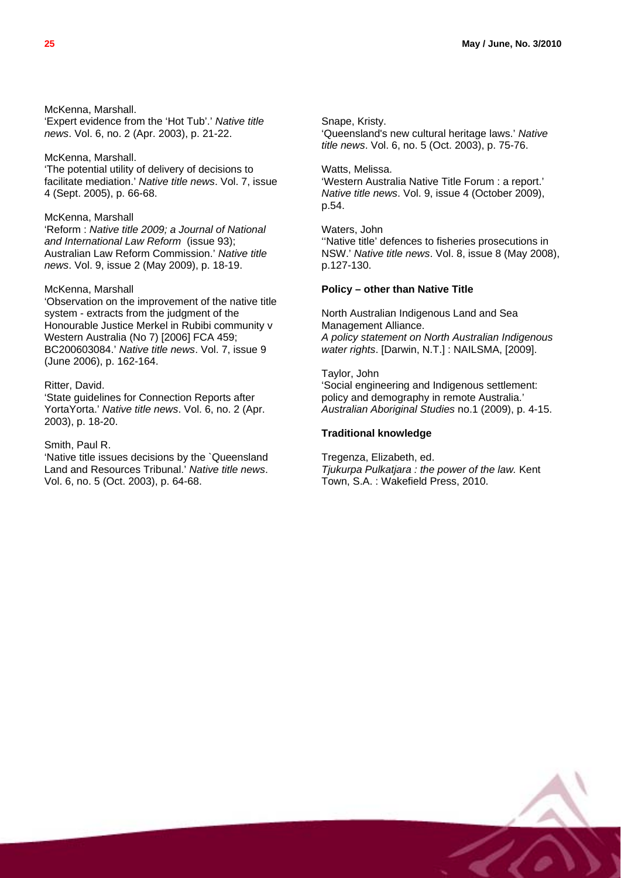McKenna, Marshall. 'Expert evidence from the 'Hot Tub'.' *Native title news*. Vol. 6, no. 2 (Apr. 2003), p. 21-22.

McKenna, Marshall.

'The potential utility of delivery of decisions to facilitate mediation.' *Native title news*. Vol. 7, issue 4 (Sept. 2005), p. 66-68.

McKenna, Marshall

'Reform : *Native title 2009; a Journal of National and International Law Reform* (issue 93); Australian Law Reform Commission.' *Native title news*. Vol. 9, issue 2 (May 2009), p. 18-19.

#### McKenna, Marshall

'Observation on the improvement of the native title system - extracts from the judgment of the Honourable Justice Merkel in Rubibi community v Western Australia (No 7) [2006] FCA 459; BC200603084.' *Native title news*. Vol. 7, issue 9 (June 2006), p. 162-164.

#### Ritter, David.

'State guidelines for Connection Reports after YortaYorta.' *Native title news*. Vol. 6, no. 2 (Apr. 2003), p. 18-20.

#### Smith, Paul R.

'Native title issues decisions by the `Queensland Land and Resources Tribunal.' *Native title news*. Vol. 6, no. 5 (Oct. 2003), p. 64-68.

Snape, Kristy. 'Queensland's new cultural heritage laws.' *Native* 

*title news*. Vol. 6, no. 5 (Oct. 2003), p. 75-76.

Watts, Melissa.

'Western Australia Native Title Forum : a report.' *Native title news*. Vol. 9, issue 4 (October 2009), p.54.

Waters, John ''Native title' defences to fisheries prosecutions in NSW.' *Native title news*. Vol. 8, issue 8 (May 2008), p.127-130.

#### **Policy – other than Native Title**

North Australian Indigenous Land and Sea Management Alliance. *A policy statement on North Australian Indigenous water rights*. [Darwin, N.T.] : NAILSMA, [2009].

Taylor, John 'Social engineering and Indigenous settlement: policy and demography in remote Australia.' *Australian Aboriginal Studies* no.1 (2009), p. 4-15.

#### **Traditional knowledge**

Tregenza, Elizabeth, ed. *Tjukurpa Pulkatjara : the power of the law.* Kent Town, S.A. : Wakefield Press, 2010.